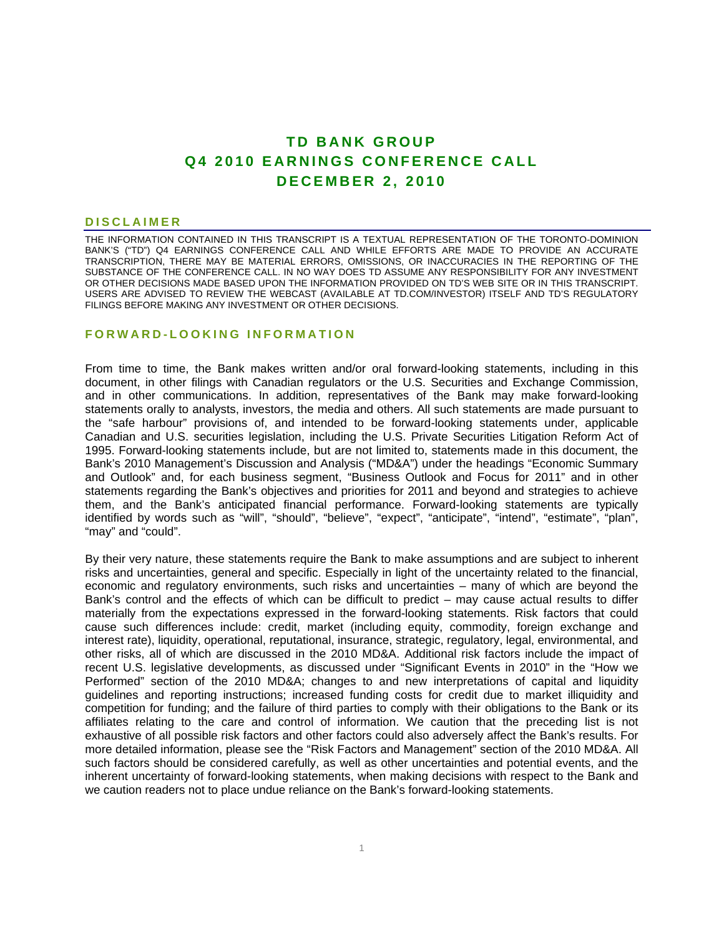# **TD BANK GROUP Q4 2010 EARNINGS CONFERENCE CALL DECEMBER 2, 2010**

#### **DISCLAIMER**

THE INFORMATION CONTAINED IN THIS TRANSCRIPT IS A TEXTUAL REPRESENTATION OF THE TORONTO-DOMINION BANK'S ("TD") Q4 EARNINGS CONFERENCE CALL AND WHILE EFFORTS ARE MADE TO PROVIDE AN ACCURATE TRANSCRIPTION, THERE MAY BE MATERIAL ERRORS, OMISSIONS, OR INACCURACIES IN THE REPORTING OF THE SUBSTANCE OF THE CONFERENCE CALL. IN NO WAY DOES TD ASSUME ANY RESPONSIBILITY FOR ANY INVESTMENT OR OTHER DECISIONS MADE BASED UPON THE INFORMATION PROVIDED ON TD'S WEB SITE OR IN THIS TRANSCRIPT. USERS ARE ADVISED TO REVIEW THE WEBCAST (AVAILABLE AT TD.COM/INVESTOR) ITSELF AND TD'S REGULATORY FILINGS BEFORE MAKING ANY INVESTMENT OR OTHER DECISIONS.

### **FORWARD-LOOKING INFORMATION**

From time to time, the Bank makes written and/or oral forward-looking statements, including in this document, in other filings with Canadian regulators or the U.S. Securities and Exchange Commission, and in other communications. In addition, representatives of the Bank may make forward-looking statements orally to analysts, investors, the media and others. All such statements are made pursuant to the "safe harbour" provisions of, and intended to be forward-looking statements under, applicable Canadian and U.S. securities legislation, including the U.S. Private Securities Litigation Reform Act of 1995. Forward-looking statements include, but are not limited to, statements made in this document, the Bank's 2010 Management's Discussion and Analysis ("MD&A") under the headings "Economic Summary and Outlook" and, for each business segment, "Business Outlook and Focus for 2011" and in other statements regarding the Bank's objectives and priorities for 2011 and beyond and strategies to achieve them, and the Bank's anticipated financial performance. Forward-looking statements are typically identified by words such as "will", "should", "believe", "expect", "anticipate", "intend", "estimate", "plan", "may" and "could".

By their very nature, these statements require the Bank to make assumptions and are subject to inherent risks and uncertainties, general and specific. Especially in light of the uncertainty related to the financial, economic and regulatory environments, such risks and uncertainties – many of which are beyond the Bank's control and the effects of which can be difficult to predict – may cause actual results to differ materially from the expectations expressed in the forward-looking statements. Risk factors that could cause such differences include: credit, market (including equity, commodity, foreign exchange and interest rate), liquidity, operational, reputational, insurance, strategic, regulatory, legal, environmental, and other risks, all of which are discussed in the 2010 MD&A. Additional risk factors include the impact of recent U.S. legislative developments, as discussed under "Significant Events in 2010" in the "How we Performed" section of the 2010 MD&A; changes to and new interpretations of capital and liquidity guidelines and reporting instructions; increased funding costs for credit due to market illiquidity and competition for funding; and the failure of third parties to comply with their obligations to the Bank or its affiliates relating to the care and control of information. We caution that the preceding list is not exhaustive of all possible risk factors and other factors could also adversely affect the Bank's results. For more detailed information, please see the "Risk Factors and Management" section of the 2010 MD&A. All such factors should be considered carefully, as well as other uncertainties and potential events, and the inherent uncertainty of forward-looking statements, when making decisions with respect to the Bank and we caution readers not to place undue reliance on the Bank's forward-looking statements.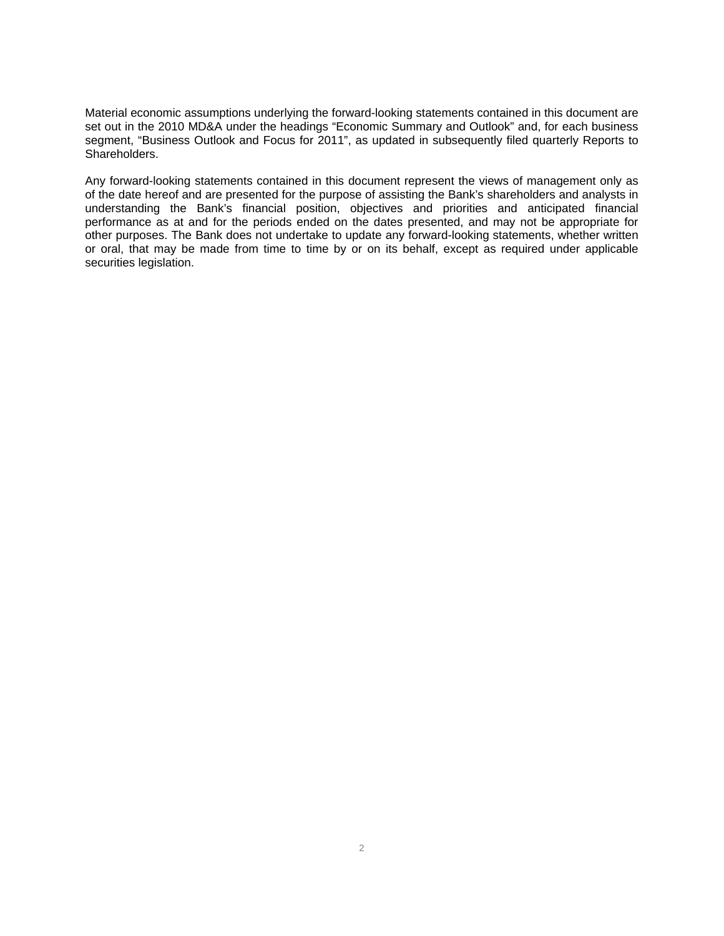Material economic assumptions underlying the forward-looking statements contained in this document are set out in the 2010 MD&A under the headings "Economic Summary and Outlook" and, for each business segment, "Business Outlook and Focus for 2011", as updated in subsequently filed quarterly Reports to Shareholders.

Any forward-looking statements contained in this document represent the views of management only as of the date hereof and are presented for the purpose of assisting the Bank's shareholders and analysts in understanding the Bank's financial position, objectives and priorities and anticipated financial performance as at and for the periods ended on the dates presented, and may not be appropriate for other purposes. The Bank does not undertake to update any forward-looking statements, whether written or oral, that may be made from time to time by or on its behalf, except as required under applicable securities legislation.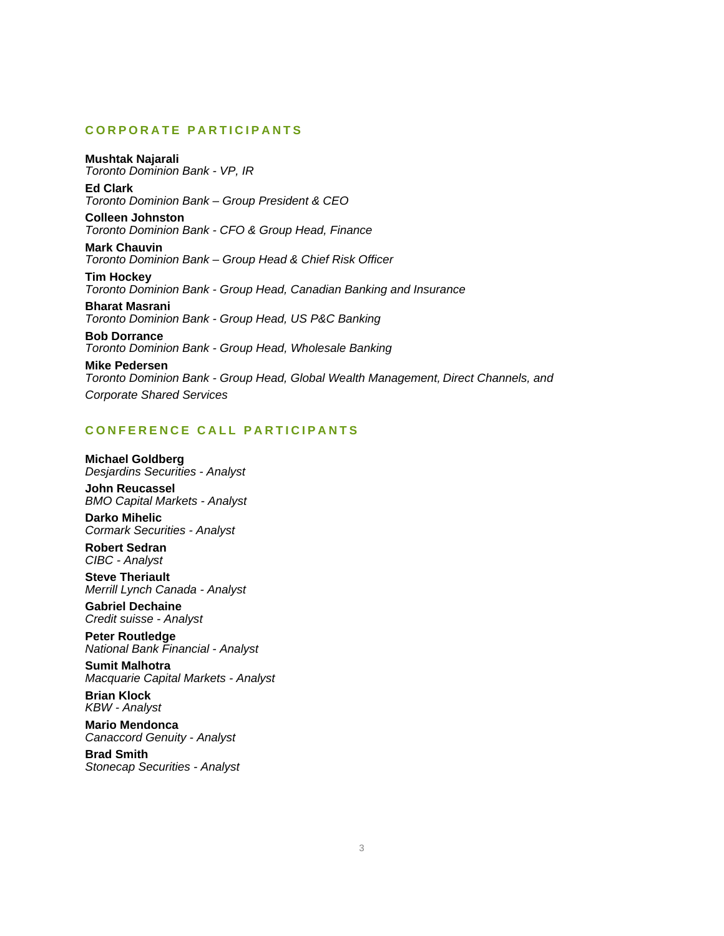# **CORPORATE PARTICIPANTS**

**Mushtak Najarali**  *Toronto Dominion Bank - VP, IR* 

**Ed Clark**  *Toronto Dominion Bank – Group President & CEO* 

**Colleen Johnston**  *Toronto Dominion Bank - CFO & Group Head, Finance* 

**Mark Chauvin**  *Toronto Dominion Bank – Group Head & Chief Risk Officer* 

**Tim Hockey**  *Toronto Dominion Bank - Group Head, Canadian Banking and Insurance* 

**Bharat Masrani**  *Toronto Dominion Bank - Group Head, US P&C Banking* 

**Bob Dorrance**  *Toronto Dominion Bank - Group Head, Wholesale Banking* 

**Mike Pedersen**  *Toronto Dominion Bank - Group Head, Global Wealth Management, Direct Channels, and Corporate Shared Services* 

# **CONFERENCE CALL PARTICIPANTS**

**Michael Goldberg**  *Desjardins Securities - Analyst* 

**John Reucassel**  *BMO Capital Markets - Analyst* 

**Darko Mihelic**  *Cormark Securities - Analyst* 

**Robert Sedran**  *CIBC - Analyst* 

**Steve Theriault**  *Merrill Lynch Canada - Analyst* 

**Gabriel Dechaine**  *Credit suisse - Analyst* 

**Peter Routledge**  *National Bank Financial - Analyst* 

**Sumit Malhotra**  *Macquarie Capital Markets - Analyst* 

**Brian Klock**  *KBW - Analyst* 

**Mario Mendonca**  *Canaccord Genuity - Analyst* 

**Brad Smith**  *Stonecap Securities - Analyst*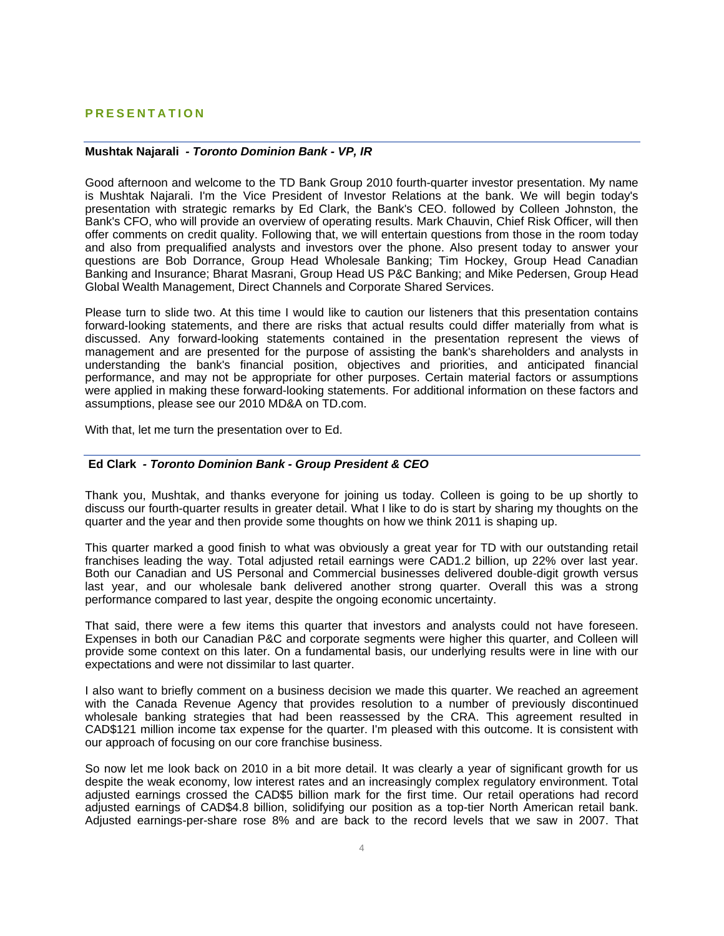### **PRESENTATION**

### **Mushtak Najarali** *- Toronto Dominion Bank - VP, IR*

Good afternoon and welcome to the TD Bank Group 2010 fourth-quarter investor presentation. My name is Mushtak Najarali. I'm the Vice President of Investor Relations at the bank. We will begin today's presentation with strategic remarks by Ed Clark, the Bank's CEO. followed by Colleen Johnston, the Bank's CFO, who will provide an overview of operating results. Mark Chauvin, Chief Risk Officer, will then offer comments on credit quality. Following that, we will entertain questions from those in the room today and also from prequalified analysts and investors over the phone. Also present today to answer your questions are Bob Dorrance, Group Head Wholesale Banking; Tim Hockey, Group Head Canadian Banking and Insurance; Bharat Masrani, Group Head US P&C Banking; and Mike Pedersen, Group Head Global Wealth Management, Direct Channels and Corporate Shared Services.

Please turn to slide two. At this time I would like to caution our listeners that this presentation contains forward-looking statements, and there are risks that actual results could differ materially from what is discussed. Any forward-looking statements contained in the presentation represent the views of management and are presented for the purpose of assisting the bank's shareholders and analysts in understanding the bank's financial position, objectives and priorities, and anticipated financial performance, and may not be appropriate for other purposes. Certain material factors or assumptions were applied in making these forward-looking statements. For additional information on these factors and assumptions, please see our 2010 MD&A on TD.com.

With that, let me turn the presentation over to Ed.

#### **Ed Clark** *- Toronto Dominion Bank - Group President & CEO*

Thank you, Mushtak, and thanks everyone for joining us today. Colleen is going to be up shortly to discuss our fourth-quarter results in greater detail. What I like to do is start by sharing my thoughts on the quarter and the year and then provide some thoughts on how we think 2011 is shaping up.

This quarter marked a good finish to what was obviously a great year for TD with our outstanding retail franchises leading the way. Total adjusted retail earnings were CAD1.2 billion, up 22% over last year. Both our Canadian and US Personal and Commercial businesses delivered double-digit growth versus last year, and our wholesale bank delivered another strong quarter. Overall this was a strong performance compared to last year, despite the ongoing economic uncertainty.

That said, there were a few items this quarter that investors and analysts could not have foreseen. Expenses in both our Canadian P&C and corporate segments were higher this quarter, and Colleen will provide some context on this later. On a fundamental basis, our underlying results were in line with our expectations and were not dissimilar to last quarter.

I also want to briefly comment on a business decision we made this quarter. We reached an agreement with the Canada Revenue Agency that provides resolution to a number of previously discontinued wholesale banking strategies that had been reassessed by the CRA. This agreement resulted in CAD\$121 million income tax expense for the quarter. I'm pleased with this outcome. It is consistent with our approach of focusing on our core franchise business.

So now let me look back on 2010 in a bit more detail. It was clearly a year of significant growth for us despite the weak economy, low interest rates and an increasingly complex regulatory environment. Total adjusted earnings crossed the CAD\$5 billion mark for the first time. Our retail operations had record adjusted earnings of CAD\$4.8 billion, solidifying our position as a top-tier North American retail bank. Adjusted earnings-per-share rose 8% and are back to the record levels that we saw in 2007. That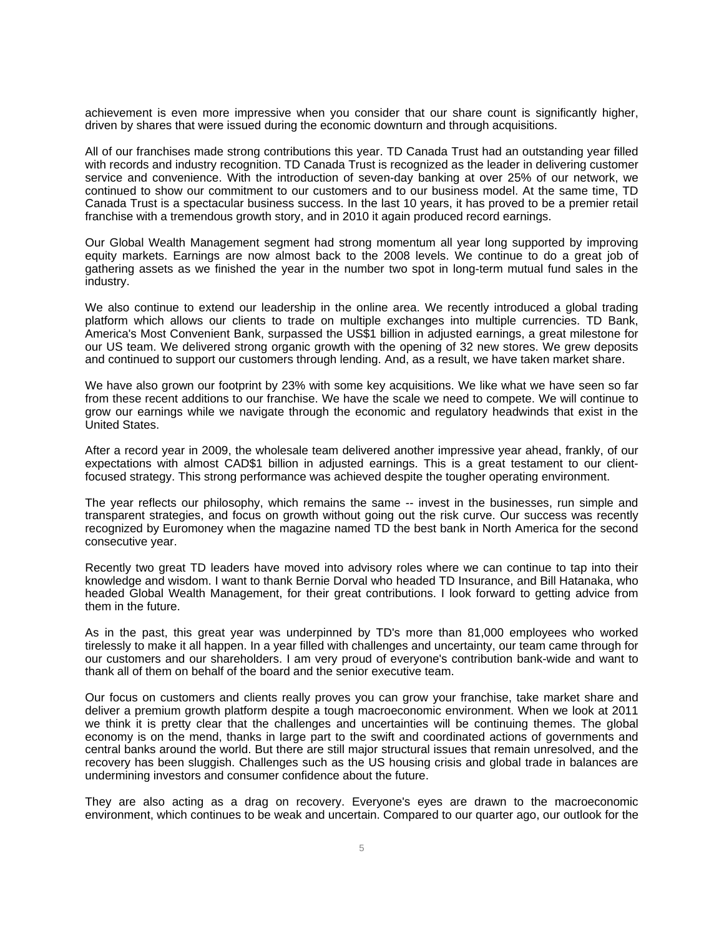achievement is even more impressive when you consider that our share count is significantly higher, driven by shares that were issued during the economic downturn and through acquisitions.

All of our franchises made strong contributions this year. TD Canada Trust had an outstanding year filled with records and industry recognition. TD Canada Trust is recognized as the leader in delivering customer service and convenience. With the introduction of seven-day banking at over 25% of our network, we continued to show our commitment to our customers and to our business model. At the same time, TD Canada Trust is a spectacular business success. In the last 10 years, it has proved to be a premier retail franchise with a tremendous growth story, and in 2010 it again produced record earnings.

Our Global Wealth Management segment had strong momentum all year long supported by improving equity markets. Earnings are now almost back to the 2008 levels. We continue to do a great job of gathering assets as we finished the year in the number two spot in long-term mutual fund sales in the industry.

We also continue to extend our leadership in the online area. We recently introduced a global trading platform which allows our clients to trade on multiple exchanges into multiple currencies. TD Bank, America's Most Convenient Bank, surpassed the US\$1 billion in adjusted earnings, a great milestone for our US team. We delivered strong organic growth with the opening of 32 new stores. We grew deposits and continued to support our customers through lending. And, as a result, we have taken market share.

We have also grown our footprint by 23% with some key acquisitions. We like what we have seen so far from these recent additions to our franchise. We have the scale we need to compete. We will continue to grow our earnings while we navigate through the economic and regulatory headwinds that exist in the United States.

After a record year in 2009, the wholesale team delivered another impressive year ahead, frankly, of our expectations with almost CAD\$1 billion in adjusted earnings. This is a great testament to our clientfocused strategy. This strong performance was achieved despite the tougher operating environment.

The year reflects our philosophy, which remains the same -- invest in the businesses, run simple and transparent strategies, and focus on growth without going out the risk curve. Our success was recently recognized by Euromoney when the magazine named TD the best bank in North America for the second consecutive year.

Recently two great TD leaders have moved into advisory roles where we can continue to tap into their knowledge and wisdom. I want to thank Bernie Dorval who headed TD Insurance, and Bill Hatanaka, who headed Global Wealth Management, for their great contributions. I look forward to getting advice from them in the future.

As in the past, this great year was underpinned by TD's more than 81,000 employees who worked tirelessly to make it all happen. In a year filled with challenges and uncertainty, our team came through for our customers and our shareholders. I am very proud of everyone's contribution bank-wide and want to thank all of them on behalf of the board and the senior executive team.

Our focus on customers and clients really proves you can grow your franchise, take market share and deliver a premium growth platform despite a tough macroeconomic environment. When we look at 2011 we think it is pretty clear that the challenges and uncertainties will be continuing themes. The global economy is on the mend, thanks in large part to the swift and coordinated actions of governments and central banks around the world. But there are still major structural issues that remain unresolved, and the recovery has been sluggish. Challenges such as the US housing crisis and global trade in balances are undermining investors and consumer confidence about the future.

They are also acting as a drag on recovery. Everyone's eyes are drawn to the macroeconomic environment, which continues to be weak and uncertain. Compared to our quarter ago, our outlook for the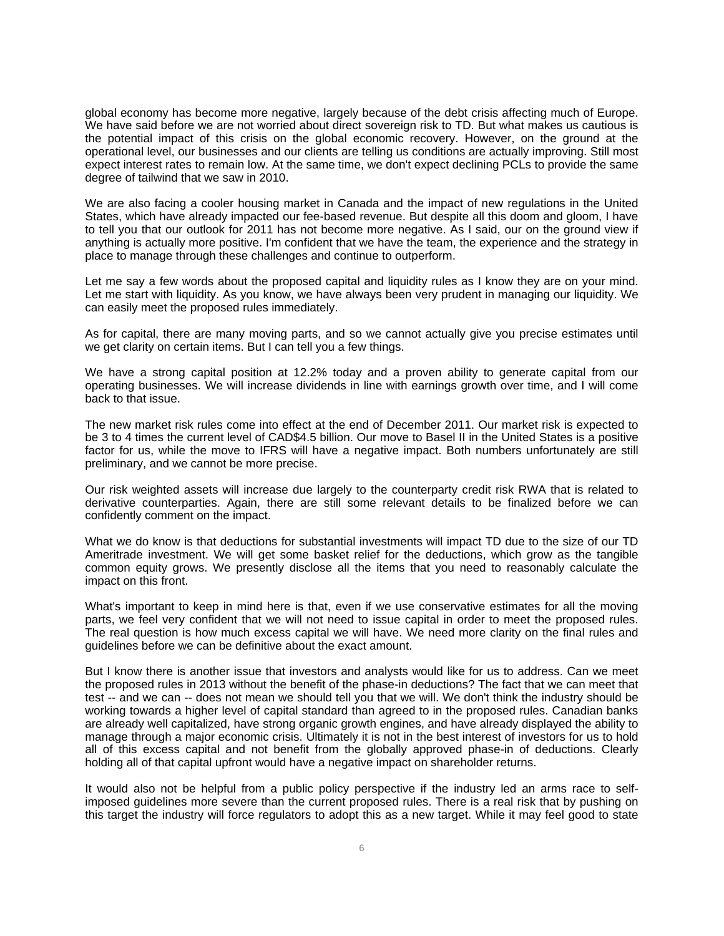global economy has become more negative, largely because of the debt crisis affecting much of Europe. We have said before we are not worried about direct sovereign risk to TD. But what makes us cautious is the potential impact of this crisis on the global economic recovery. However, on the ground at the operational level, our businesses and our clients are telling us conditions are actually improving. Still most expect interest rates to remain low. At the same time, we don't expect declining PCLs to provide the same degree of tailwind that we saw in 2010.

We are also facing a cooler housing market in Canada and the impact of new regulations in the United States, which have already impacted our fee-based revenue. But despite all this doom and gloom, I have to tell you that our outlook for 2011 has not become more negative. As I said, our on the ground view if anything is actually more positive. I'm confident that we have the team, the experience and the strategy in place to manage through these challenges and continue to outperform.

Let me say a few words about the proposed capital and liquidity rules as I know they are on your mind. Let me start with liquidity. As you know, we have always been very prudent in managing our liquidity. We can easily meet the proposed rules immediately.

As for capital, there are many moving parts, and so we cannot actually give you precise estimates until we get clarity on certain items. But I can tell you a few things.

We have a strong capital position at 12.2% today and a proven ability to generate capital from our operating businesses. We will increase dividends in line with earnings growth over time, and I will come back to that issue.

The new market risk rules come into effect at the end of December 2011. Our market risk is expected to be 3 to 4 times the current level of CAD\$4.5 billion. Our move to Basel II in the United States is a positive factor for us, while the move to IFRS will have a negative impact. Both numbers unfortunately are still preliminary, and we cannot be more precise.

Our risk weighted assets will increase due largely to the counterparty credit risk RWA that is related to derivative counterparties. Again, there are still some relevant details to be finalized before we can confidently comment on the impact.

What we do know is that deductions for substantial investments will impact TD due to the size of our TD Ameritrade investment. We will get some basket relief for the deductions, which grow as the tangible common equity grows. We presently disclose all the items that you need to reasonably calculate the impact on this front.

What's important to keep in mind here is that, even if we use conservative estimates for all the moving parts, we feel very confident that we will not need to issue capital in order to meet the proposed rules. The real question is how much excess capital we will have. We need more clarity on the final rules and guidelines before we can be definitive about the exact amount.

But I know there is another issue that investors and analysts would like for us to address. Can we meet the proposed rules in 2013 without the benefit of the phase-in deductions? The fact that we can meet that test -- and we can -- does not mean we should tell you that we will. We don't think the industry should be working towards a higher level of capital standard than agreed to in the proposed rules. Canadian banks are already well capitalized, have strong organic growth engines, and have already displayed the ability to manage through a major economic crisis. Ultimately it is not in the best interest of investors for us to hold all of this excess capital and not benefit from the globally approved phase-in of deductions. Clearly holding all of that capital upfront would have a negative impact on shareholder returns.

It would also not be helpful from a public policy perspective if the industry led an arms race to selfimposed guidelines more severe than the current proposed rules. There is a real risk that by pushing on this target the industry will force regulators to adopt this as a new target. While it may feel good to state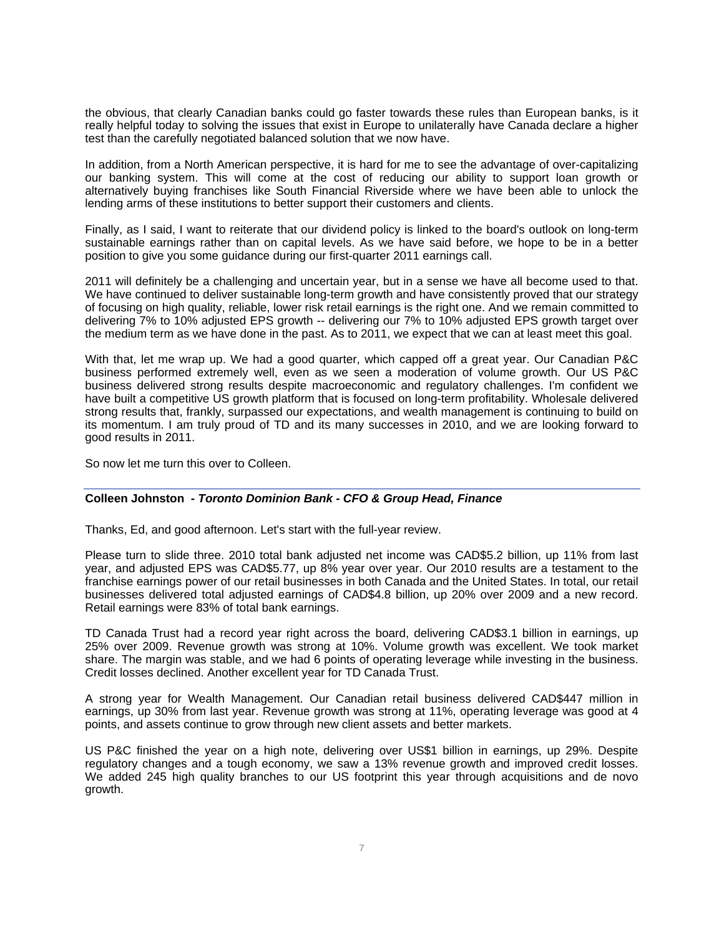the obvious, that clearly Canadian banks could go faster towards these rules than European banks, is it really helpful today to solving the issues that exist in Europe to unilaterally have Canada declare a higher test than the carefully negotiated balanced solution that we now have.

In addition, from a North American perspective, it is hard for me to see the advantage of over-capitalizing our banking system. This will come at the cost of reducing our ability to support loan growth or alternatively buying franchises like South Financial Riverside where we have been able to unlock the lending arms of these institutions to better support their customers and clients.

Finally, as I said, I want to reiterate that our dividend policy is linked to the board's outlook on long-term sustainable earnings rather than on capital levels. As we have said before, we hope to be in a better position to give you some guidance during our first-quarter 2011 earnings call.

2011 will definitely be a challenging and uncertain year, but in a sense we have all become used to that. We have continued to deliver sustainable long-term growth and have consistently proved that our strategy of focusing on high quality, reliable, lower risk retail earnings is the right one. And we remain committed to delivering 7% to 10% adjusted EPS growth -- delivering our 7% to 10% adjusted EPS growth target over the medium term as we have done in the past. As to 2011, we expect that we can at least meet this goal.

With that, let me wrap up. We had a good quarter, which capped off a great year. Our Canadian P&C business performed extremely well, even as we seen a moderation of volume growth. Our US P&C business delivered strong results despite macroeconomic and regulatory challenges. I'm confident we have built a competitive US growth platform that is focused on long-term profitability. Wholesale delivered strong results that, frankly, surpassed our expectations, and wealth management is continuing to build on its momentum. I am truly proud of TD and its many successes in 2010, and we are looking forward to good results in 2011.

So now let me turn this over to Colleen.

### **Colleen Johnston** *- Toronto Dominion Bank - CFO & Group Head, Finance*

Thanks, Ed, and good afternoon. Let's start with the full-year review.

Please turn to slide three. 2010 total bank adjusted net income was CAD\$5.2 billion, up 11% from last year, and adjusted EPS was CAD\$5.77, up 8% year over year. Our 2010 results are a testament to the franchise earnings power of our retail businesses in both Canada and the United States. In total, our retail businesses delivered total adjusted earnings of CAD\$4.8 billion, up 20% over 2009 and a new record. Retail earnings were 83% of total bank earnings.

TD Canada Trust had a record year right across the board, delivering CAD\$3.1 billion in earnings, up 25% over 2009. Revenue growth was strong at 10%. Volume growth was excellent. We took market share. The margin was stable, and we had 6 points of operating leverage while investing in the business. Credit losses declined. Another excellent year for TD Canada Trust.

A strong year for Wealth Management. Our Canadian retail business delivered CAD\$447 million in earnings, up 30% from last year. Revenue growth was strong at 11%, operating leverage was good at 4 points, and assets continue to grow through new client assets and better markets.

US P&C finished the year on a high note, delivering over US\$1 billion in earnings, up 29%. Despite regulatory changes and a tough economy, we saw a 13% revenue growth and improved credit losses. We added 245 high quality branches to our US footprint this year through acquisitions and de novo growth.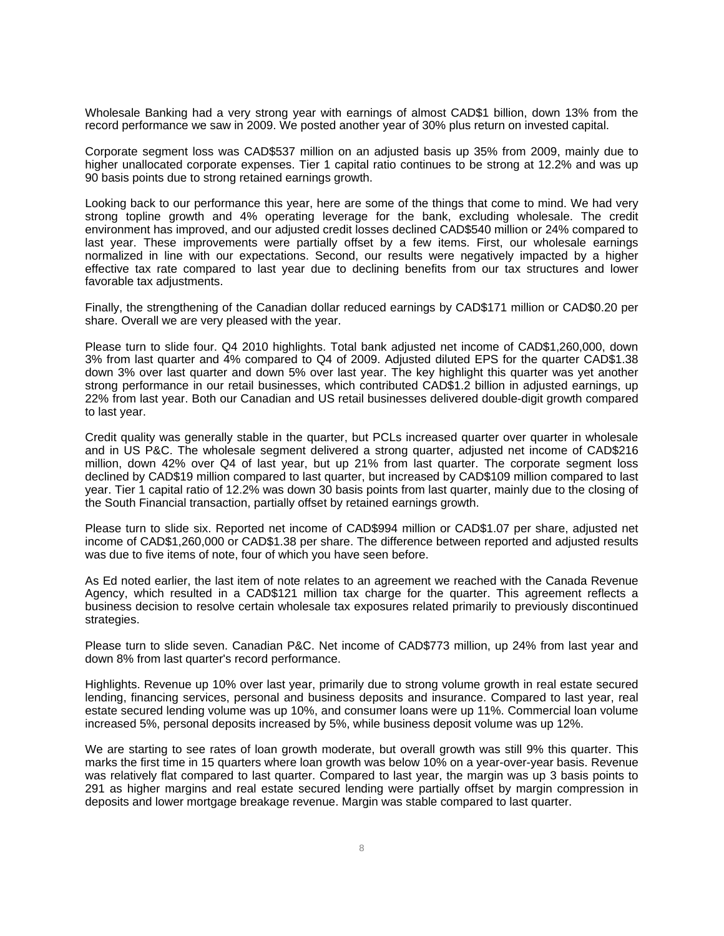Wholesale Banking had a very strong year with earnings of almost CAD\$1 billion, down 13% from the record performance we saw in 2009. We posted another year of 30% plus return on invested capital.

Corporate segment loss was CAD\$537 million on an adjusted basis up 35% from 2009, mainly due to higher unallocated corporate expenses. Tier 1 capital ratio continues to be strong at 12.2% and was up 90 basis points due to strong retained earnings growth.

Looking back to our performance this year, here are some of the things that come to mind. We had very strong topline growth and 4% operating leverage for the bank, excluding wholesale. The credit environment has improved, and our adjusted credit losses declined CAD\$540 million or 24% compared to last year. These improvements were partially offset by a few items. First, our wholesale earnings normalized in line with our expectations. Second, our results were negatively impacted by a higher effective tax rate compared to last year due to declining benefits from our tax structures and lower favorable tax adjustments.

Finally, the strengthening of the Canadian dollar reduced earnings by CAD\$171 million or CAD\$0.20 per share. Overall we are very pleased with the year.

Please turn to slide four. Q4 2010 highlights. Total bank adjusted net income of CAD\$1,260,000, down 3% from last quarter and 4% compared to Q4 of 2009. Adjusted diluted EPS for the quarter CAD\$1.38 down 3% over last quarter and down 5% over last year. The key highlight this quarter was yet another strong performance in our retail businesses, which contributed CAD\$1.2 billion in adjusted earnings, up 22% from last year. Both our Canadian and US retail businesses delivered double-digit growth compared to last year.

Credit quality was generally stable in the quarter, but PCLs increased quarter over quarter in wholesale and in US P&C. The wholesale segment delivered a strong quarter, adjusted net income of CAD\$216 million, down 42% over Q4 of last year, but up 21% from last quarter. The corporate segment loss declined by CAD\$19 million compared to last quarter, but increased by CAD\$109 million compared to last year. Tier 1 capital ratio of 12.2% was down 30 basis points from last quarter, mainly due to the closing of the South Financial transaction, partially offset by retained earnings growth.

Please turn to slide six. Reported net income of CAD\$994 million or CAD\$1.07 per share, adjusted net income of CAD\$1,260,000 or CAD\$1.38 per share. The difference between reported and adjusted results was due to five items of note, four of which you have seen before.

As Ed noted earlier, the last item of note relates to an agreement we reached with the Canada Revenue Agency, which resulted in a CAD\$121 million tax charge for the quarter. This agreement reflects a business decision to resolve certain wholesale tax exposures related primarily to previously discontinued strategies.

Please turn to slide seven. Canadian P&C. Net income of CAD\$773 million, up 24% from last year and down 8% from last quarter's record performance.

Highlights. Revenue up 10% over last year, primarily due to strong volume growth in real estate secured lending, financing services, personal and business deposits and insurance. Compared to last year, real estate secured lending volume was up 10%, and consumer loans were up 11%. Commercial loan volume increased 5%, personal deposits increased by 5%, while business deposit volume was up 12%.

We are starting to see rates of loan growth moderate, but overall growth was still 9% this quarter. This marks the first time in 15 quarters where loan growth was below 10% on a year-over-year basis. Revenue was relatively flat compared to last quarter. Compared to last year, the margin was up 3 basis points to 291 as higher margins and real estate secured lending were partially offset by margin compression in deposits and lower mortgage breakage revenue. Margin was stable compared to last quarter.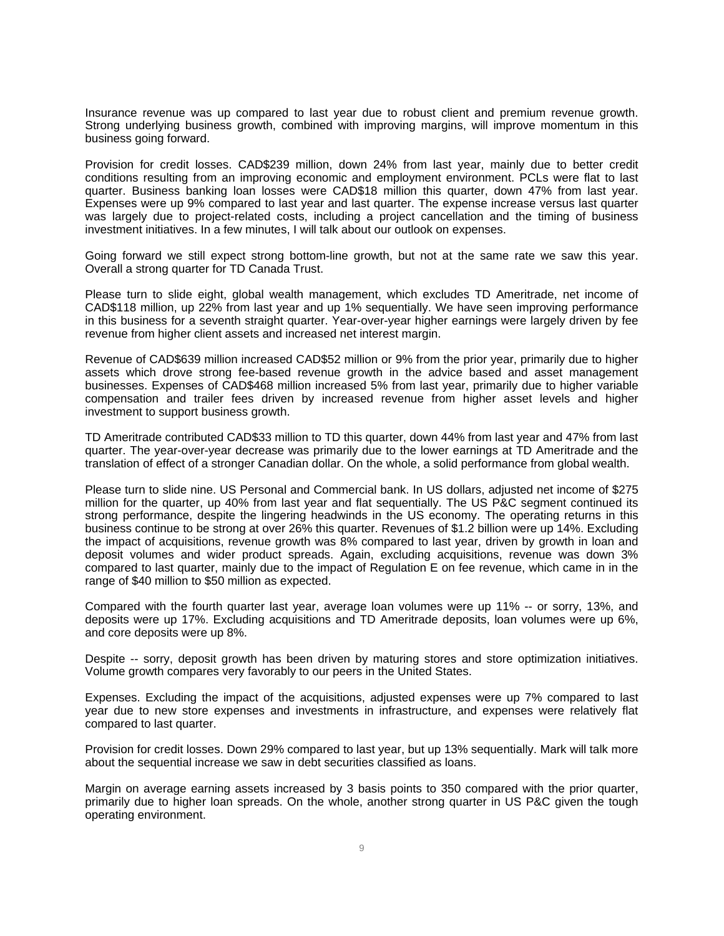Insurance revenue was up compared to last year due to robust client and premium revenue growth. Strong underlying business growth, combined with improving margins, will improve momentum in this business going forward.

Provision for credit losses. CAD\$239 million, down 24% from last year, mainly due to better credit conditions resulting from an improving economic and employment environment. PCLs were flat to last quarter. Business banking loan losses were CAD\$18 million this quarter, down 47% from last year. Expenses were up 9% compared to last year and last quarter. The expense increase versus last quarter was largely due to project-related costs, including a project cancellation and the timing of business investment initiatives. In a few minutes, I will talk about our outlook on expenses.

Going forward we still expect strong bottom-line growth, but not at the same rate we saw this year. Overall a strong quarter for TD Canada Trust.

Please turn to slide eight, global wealth management, which excludes TD Ameritrade, net income of CAD\$118 million, up 22% from last year and up 1% sequentially. We have seen improving performance in this business for a seventh straight quarter. Year-over-year higher earnings were largely driven by fee revenue from higher client assets and increased net interest margin.

Revenue of CAD\$639 million increased CAD\$52 million or 9% from the prior year, primarily due to higher assets which drove strong fee-based revenue growth in the advice based and asset management businesses. Expenses of CAD\$468 million increased 5% from last year, primarily due to higher variable compensation and trailer fees driven by increased revenue from higher asset levels and higher investment to support business growth.

TD Ameritrade contributed CAD\$33 million to TD this quarter, down 44% from last year and 47% from last quarter. The year-over-year decrease was primarily due to the lower earnings at TD Ameritrade and the translation of effect of a stronger Canadian dollar. On the whole, a solid performance from global wealth.

Please turn to slide nine. US Personal and Commercial bank. In US dollars, adjusted net income of \$275 million for the quarter, up 40% from last year and flat sequentially. The US P&C segment continued its strong performance, despite the lingering headwinds in the US economy. The operating returns in this business continue to be strong at over 26% this quarter. Revenues of \$1.2 billion were up 14%. Excluding the impact of acquisitions, revenue growth was 8% compared to last year, driven by growth in loan and deposit volumes and wider product spreads. Again, excluding acquisitions, revenue was down 3% compared to last quarter, mainly due to the impact of Regulation E on fee revenue, which came in in the range of \$40 million to \$50 million as expected.

Compared with the fourth quarter last year, average loan volumes were up 11% -- or sorry, 13%, and deposits were up 17%. Excluding acquisitions and TD Ameritrade deposits, loan volumes were up 6%, and core deposits were up 8%.

Despite -- sorry, deposit growth has been driven by maturing stores and store optimization initiatives. Volume growth compares very favorably to our peers in the United States.

Expenses. Excluding the impact of the acquisitions, adjusted expenses were up 7% compared to last year due to new store expenses and investments in infrastructure, and expenses were relatively flat compared to last quarter.

Provision for credit losses. Down 29% compared to last year, but up 13% sequentially. Mark will talk more about the sequential increase we saw in debt securities classified as loans.

Margin on average earning assets increased by 3 basis points to 350 compared with the prior quarter, primarily due to higher loan spreads. On the whole, another strong quarter in US P&C given the tough operating environment.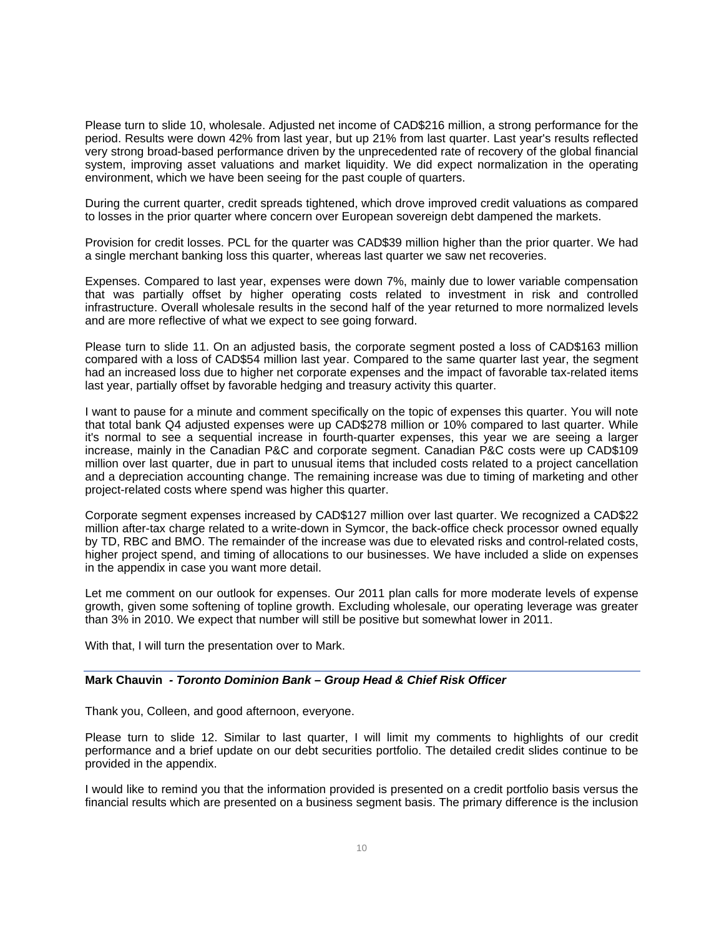Please turn to slide 10, wholesale. Adjusted net income of CAD\$216 million, a strong performance for the period. Results were down 42% from last year, but up 21% from last quarter. Last year's results reflected very strong broad-based performance driven by the unprecedented rate of recovery of the global financial system, improving asset valuations and market liquidity. We did expect normalization in the operating environment, which we have been seeing for the past couple of quarters.

During the current quarter, credit spreads tightened, which drove improved credit valuations as compared to losses in the prior quarter where concern over European sovereign debt dampened the markets.

Provision for credit losses. PCL for the quarter was CAD\$39 million higher than the prior quarter. We had a single merchant banking loss this quarter, whereas last quarter we saw net recoveries.

Expenses. Compared to last year, expenses were down 7%, mainly due to lower variable compensation that was partially offset by higher operating costs related to investment in risk and controlled infrastructure. Overall wholesale results in the second half of the year returned to more normalized levels and are more reflective of what we expect to see going forward.

Please turn to slide 11. On an adjusted basis, the corporate segment posted a loss of CAD\$163 million compared with a loss of CAD\$54 million last year. Compared to the same quarter last year, the segment had an increased loss due to higher net corporate expenses and the impact of favorable tax-related items last year, partially offset by favorable hedging and treasury activity this quarter.

I want to pause for a minute and comment specifically on the topic of expenses this quarter. You will note that total bank Q4 adjusted expenses were up CAD\$278 million or 10% compared to last quarter. While it's normal to see a sequential increase in fourth-quarter expenses, this year we are seeing a larger increase, mainly in the Canadian P&C and corporate segment. Canadian P&C costs were up CAD\$109 million over last quarter, due in part to unusual items that included costs related to a project cancellation and a depreciation accounting change. The remaining increase was due to timing of marketing and other project-related costs where spend was higher this quarter.

Corporate segment expenses increased by CAD\$127 million over last quarter. We recognized a CAD\$22 million after-tax charge related to a write-down in Symcor, the back-office check processor owned equally by TD, RBC and BMO. The remainder of the increase was due to elevated risks and control-related costs, higher project spend, and timing of allocations to our businesses. We have included a slide on expenses in the appendix in case you want more detail.

Let me comment on our outlook for expenses. Our 2011 plan calls for more moderate levels of expense growth, given some softening of topline growth. Excluding wholesale, our operating leverage was greater than 3% in 2010. We expect that number will still be positive but somewhat lower in 2011.

With that, I will turn the presentation over to Mark.

#### **Mark Chauvin** *- Toronto Dominion Bank – Group Head & Chief Risk Officer*

Thank you, Colleen, and good afternoon, everyone.

Please turn to slide 12. Similar to last quarter, I will limit my comments to highlights of our credit performance and a brief update on our debt securities portfolio. The detailed credit slides continue to be provided in the appendix.

I would like to remind you that the information provided is presented on a credit portfolio basis versus the financial results which are presented on a business segment basis. The primary difference is the inclusion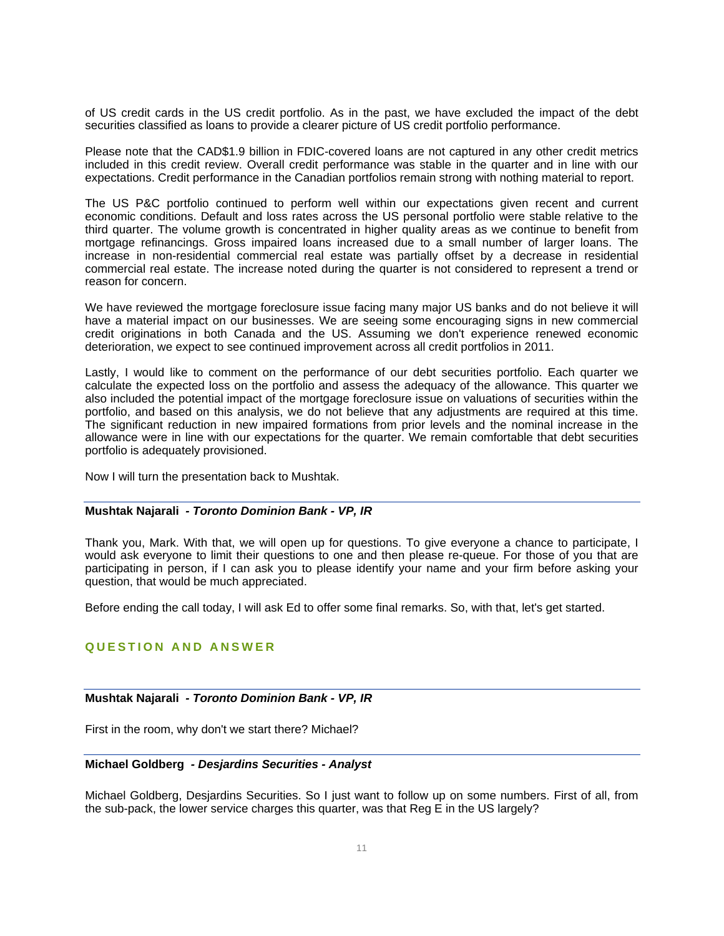of US credit cards in the US credit portfolio. As in the past, we have excluded the impact of the debt securities classified as loans to provide a clearer picture of US credit portfolio performance.

Please note that the CAD\$1.9 billion in FDIC-covered loans are not captured in any other credit metrics included in this credit review. Overall credit performance was stable in the quarter and in line with our expectations. Credit performance in the Canadian portfolios remain strong with nothing material to report.

The US P&C portfolio continued to perform well within our expectations given recent and current economic conditions. Default and loss rates across the US personal portfolio were stable relative to the third quarter. The volume growth is concentrated in higher quality areas as we continue to benefit from mortgage refinancings. Gross impaired loans increased due to a small number of larger loans. The increase in non-residential commercial real estate was partially offset by a decrease in residential commercial real estate. The increase noted during the quarter is not considered to represent a trend or reason for concern.

We have reviewed the mortgage foreclosure issue facing many major US banks and do not believe it will have a material impact on our businesses. We are seeing some encouraging signs in new commercial credit originations in both Canada and the US. Assuming we don't experience renewed economic deterioration, we expect to see continued improvement across all credit portfolios in 2011.

Lastly, I would like to comment on the performance of our debt securities portfolio. Each quarter we calculate the expected loss on the portfolio and assess the adequacy of the allowance. This quarter we also included the potential impact of the mortgage foreclosure issue on valuations of securities within the portfolio, and based on this analysis, we do not believe that any adjustments are required at this time. The significant reduction in new impaired formations from prior levels and the nominal increase in the allowance were in line with our expectations for the quarter. We remain comfortable that debt securities portfolio is adequately provisioned.

Now I will turn the presentation back to Mushtak.

#### **Mushtak Najarali** *- Toronto Dominion Bank - VP, IR*

Thank you, Mark. With that, we will open up for questions. To give everyone a chance to participate, I would ask everyone to limit their questions to one and then please re-queue. For those of you that are participating in person, if I can ask you to please identify your name and your firm before asking your question, that would be much appreciated.

Before ending the call today, I will ask Ed to offer some final remarks. So, with that, let's get started.

### **QUESTION AND ANSWER**

### **Mushtak Najarali** *- Toronto Dominion Bank - VP, IR*

First in the room, why don't we start there? Michael?

#### **Michael Goldberg** *- Desjardins Securities - Analyst*

Michael Goldberg, Desjardins Securities. So I just want to follow up on some numbers. First of all, from the sub-pack, the lower service charges this quarter, was that Reg E in the US largely?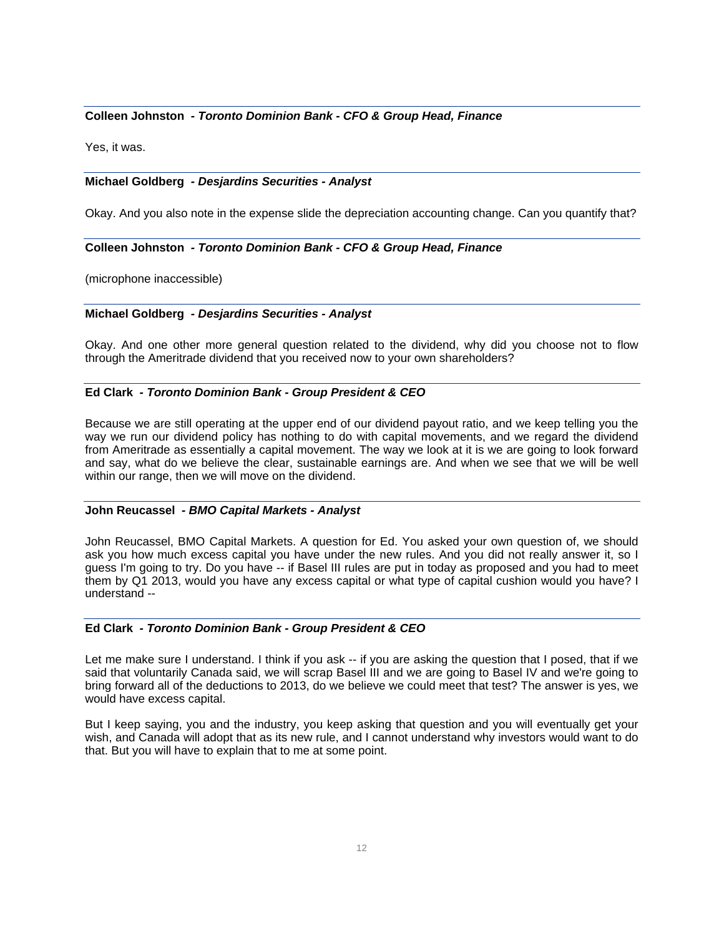### **Colleen Johnston** *- Toronto Dominion Bank - CFO & Group Head, Finance*

Yes, it was.

### **Michael Goldberg** *- Desjardins Securities - Analyst*

Okay. And you also note in the expense slide the depreciation accounting change. Can you quantify that?

### **Colleen Johnston** *- Toronto Dominion Bank - CFO & Group Head, Finance*

(microphone inaccessible)

#### **Michael Goldberg** *- Desjardins Securities - Analyst*

Okay. And one other more general question related to the dividend, why did you choose not to flow through the Ameritrade dividend that you received now to your own shareholders?

#### **Ed Clark** *- Toronto Dominion Bank - Group President & CEO*

Because we are still operating at the upper end of our dividend payout ratio, and we keep telling you the way we run our dividend policy has nothing to do with capital movements, and we regard the dividend from Ameritrade as essentially a capital movement. The way we look at it is we are going to look forward and say, what do we believe the clear, sustainable earnings are. And when we see that we will be well within our range, then we will move on the dividend.

#### **John Reucassel** *- BMO Capital Markets - Analyst*

John Reucassel, BMO Capital Markets. A question for Ed. You asked your own question of, we should ask you how much excess capital you have under the new rules. And you did not really answer it, so I guess I'm going to try. Do you have -- if Basel III rules are put in today as proposed and you had to meet them by Q1 2013, would you have any excess capital or what type of capital cushion would you have? I understand --

#### **Ed Clark** *- Toronto Dominion Bank - Group President & CEO*

Let me make sure I understand. I think if you ask -- if you are asking the question that I posed, that if we said that voluntarily Canada said, we will scrap Basel III and we are going to Basel IV and we're going to bring forward all of the deductions to 2013, do we believe we could meet that test? The answer is yes, we would have excess capital.

But I keep saying, you and the industry, you keep asking that question and you will eventually get your wish, and Canada will adopt that as its new rule, and I cannot understand why investors would want to do that. But you will have to explain that to me at some point.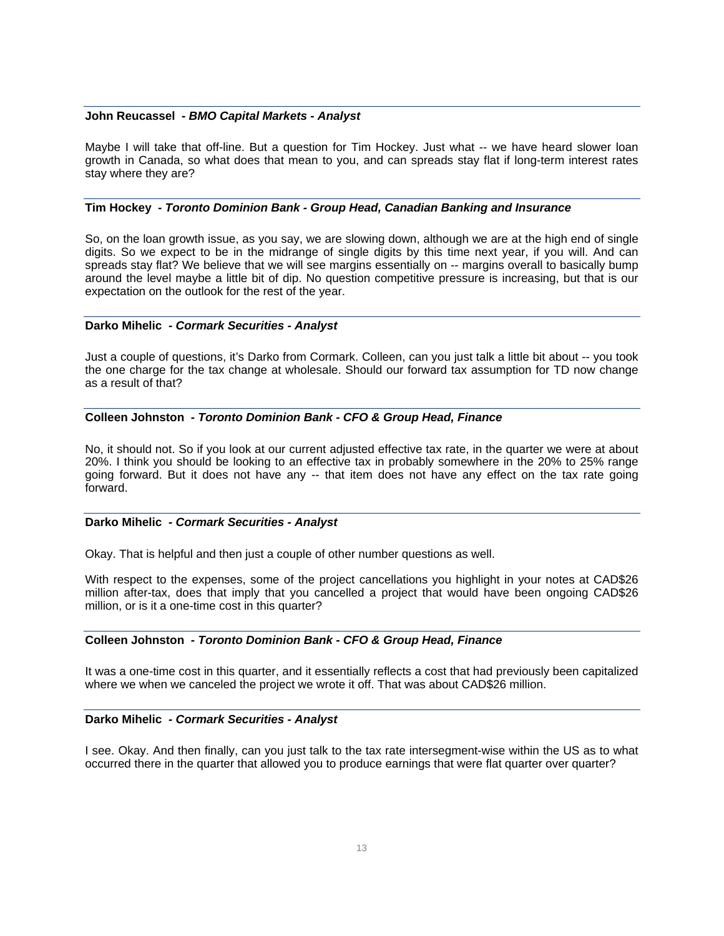#### **John Reucassel** *- BMO Capital Markets - Analyst*

Maybe I will take that off-line. But a question for Tim Hockey. Just what -- we have heard slower loan growth in Canada, so what does that mean to you, and can spreads stay flat if long-term interest rates stay where they are?

#### **Tim Hockey** *- Toronto Dominion Bank - Group Head, Canadian Banking and Insurance*

So, on the loan growth issue, as you say, we are slowing down, although we are at the high end of single digits. So we expect to be in the midrange of single digits by this time next year, if you will. And can spreads stay flat? We believe that we will see margins essentially on -- margins overall to basically bump around the level maybe a little bit of dip. No question competitive pressure is increasing, but that is our expectation on the outlook for the rest of the year.

#### **Darko Mihelic** *- Cormark Securities - Analyst*

Just a couple of questions, it's Darko from Cormark. Colleen, can you just talk a little bit about -- you took the one charge for the tax change at wholesale. Should our forward tax assumption for TD now change as a result of that?

### **Colleen Johnston** *- Toronto Dominion Bank - CFO & Group Head, Finance*

No, it should not. So if you look at our current adjusted effective tax rate, in the quarter we were at about 20%. I think you should be looking to an effective tax in probably somewhere in the 20% to 25% range going forward. But it does not have any -- that item does not have any effect on the tax rate going forward.

#### **Darko Mihelic** *- Cormark Securities - Analyst*

Okay. That is helpful and then just a couple of other number questions as well.

With respect to the expenses, some of the project cancellations you highlight in your notes at CAD\$26 million after-tax, does that imply that you cancelled a project that would have been ongoing CAD\$26 million, or is it a one-time cost in this quarter?

### **Colleen Johnston** *- Toronto Dominion Bank - CFO & Group Head, Finance*

It was a one-time cost in this quarter, and it essentially reflects a cost that had previously been capitalized where we when we canceled the project we wrote it off. That was about CAD\$26 million.

#### **Darko Mihelic** *- Cormark Securities - Analyst*

I see. Okay. And then finally, can you just talk to the tax rate intersegment-wise within the US as to what occurred there in the quarter that allowed you to produce earnings that were flat quarter over quarter?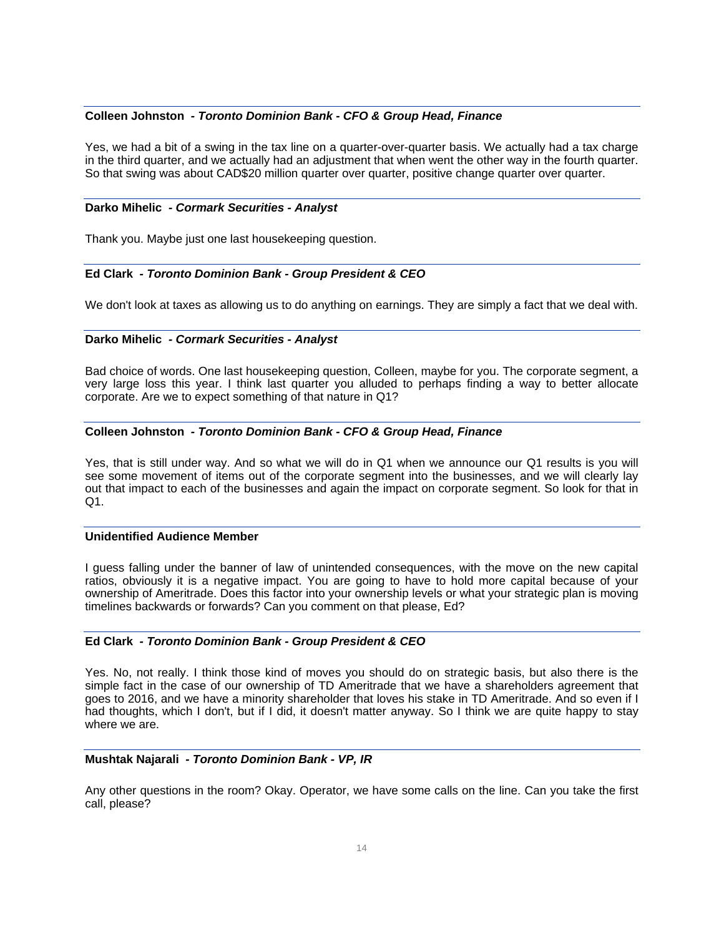### **Colleen Johnston** *- Toronto Dominion Bank - CFO & Group Head, Finance*

Yes, we had a bit of a swing in the tax line on a quarter-over-quarter basis. We actually had a tax charge in the third quarter, and we actually had an adjustment that when went the other way in the fourth quarter. So that swing was about CAD\$20 million quarter over quarter, positive change quarter over quarter.

#### **Darko Mihelic** *- Cormark Securities - Analyst*

Thank you. Maybe just one last housekeeping question.

### **Ed Clark** *- Toronto Dominion Bank - Group President & CEO*

We don't look at taxes as allowing us to do anything on earnings. They are simply a fact that we deal with.

### **Darko Mihelic** *- Cormark Securities - Analyst*

Bad choice of words. One last housekeeping question, Colleen, maybe for you. The corporate segment, a very large loss this year. I think last quarter you alluded to perhaps finding a way to better allocate corporate. Are we to expect something of that nature in Q1?

### **Colleen Johnston** *- Toronto Dominion Bank - CFO & Group Head, Finance*

Yes, that is still under way. And so what we will do in Q1 when we announce our Q1 results is you will see some movement of items out of the corporate segment into the businesses, and we will clearly lay out that impact to each of the businesses and again the impact on corporate segment. So look for that in Q1.

### **Unidentified Audience Member**

I guess falling under the banner of law of unintended consequences, with the move on the new capital ratios, obviously it is a negative impact. You are going to have to hold more capital because of your ownership of Ameritrade. Does this factor into your ownership levels or what your strategic plan is moving timelines backwards or forwards? Can you comment on that please, Ed?

### **Ed Clark** *- Toronto Dominion Bank - Group President & CEO*

Yes. No, not really. I think those kind of moves you should do on strategic basis, but also there is the simple fact in the case of our ownership of TD Ameritrade that we have a shareholders agreement that goes to 2016, and we have a minority shareholder that loves his stake in TD Ameritrade. And so even if I had thoughts, which I don't, but if I did, it doesn't matter anyway. So I think we are quite happy to stay where we are.

### **Mushtak Najarali** *- Toronto Dominion Bank - VP, IR*

Any other questions in the room? Okay. Operator, we have some calls on the line. Can you take the first call, please?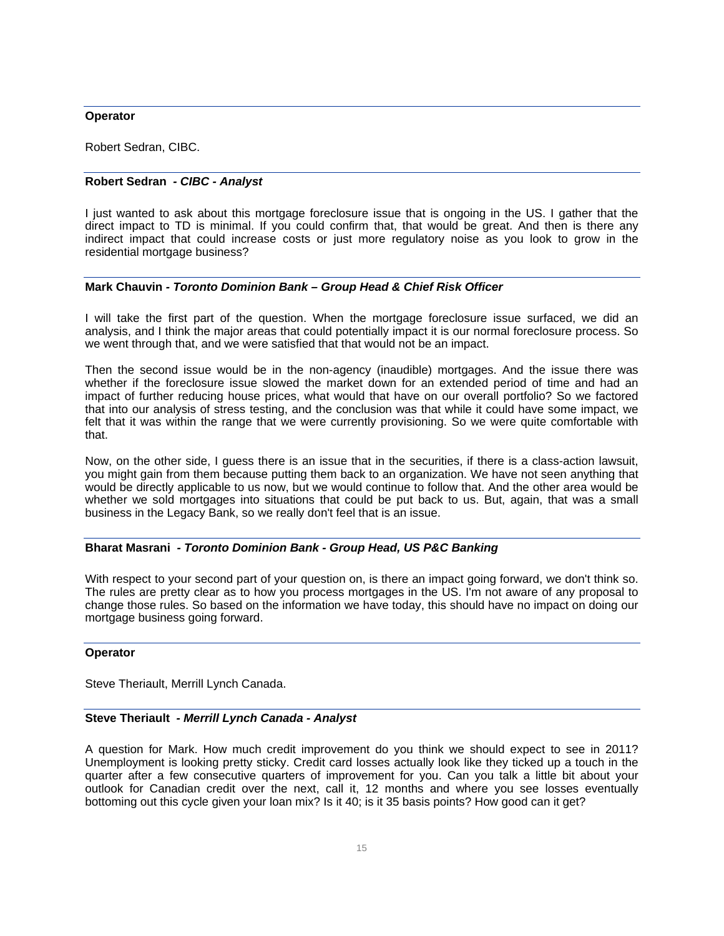### **Operator**

Robert Sedran, CIBC.

## **Robert Sedran** *- CIBC - Analyst*

I just wanted to ask about this mortgage foreclosure issue that is ongoing in the US. I gather that the direct impact to TD is minimal. If you could confirm that, that would be great. And then is there any indirect impact that could increase costs or just more regulatory noise as you look to grow in the residential mortgage business?

### **Mark Chauvin** *- Toronto Dominion Bank – Group Head & Chief Risk Officer*

I will take the first part of the question. When the mortgage foreclosure issue surfaced, we did an analysis, and I think the major areas that could potentially impact it is our normal foreclosure process. So we went through that, and we were satisfied that that would not be an impact.

Then the second issue would be in the non-agency (inaudible) mortgages. And the issue there was whether if the foreclosure issue slowed the market down for an extended period of time and had an impact of further reducing house prices, what would that have on our overall portfolio? So we factored that into our analysis of stress testing, and the conclusion was that while it could have some impact, we felt that it was within the range that we were currently provisioning. So we were quite comfortable with that.

Now, on the other side, I guess there is an issue that in the securities, if there is a class-action lawsuit, you might gain from them because putting them back to an organization. We have not seen anything that would be directly applicable to us now, but we would continue to follow that. And the other area would be whether we sold mortgages into situations that could be put back to us. But, again, that was a small business in the Legacy Bank, so we really don't feel that is an issue.

### **Bharat Masrani** *- Toronto Dominion Bank - Group Head, US P&C Banking*

With respect to your second part of your question on, is there an impact going forward, we don't think so. The rules are pretty clear as to how you process mortgages in the US. I'm not aware of any proposal to change those rules. So based on the information we have today, this should have no impact on doing our mortgage business going forward.

### **Operator**

Steve Theriault, Merrill Lynch Canada.

### **Steve Theriault** *- Merrill Lynch Canada - Analyst*

A question for Mark. How much credit improvement do you think we should expect to see in 2011? Unemployment is looking pretty sticky. Credit card losses actually look like they ticked up a touch in the quarter after a few consecutive quarters of improvement for you. Can you talk a little bit about your outlook for Canadian credit over the next, call it, 12 months and where you see losses eventually bottoming out this cycle given your loan mix? Is it 40; is it 35 basis points? How good can it get?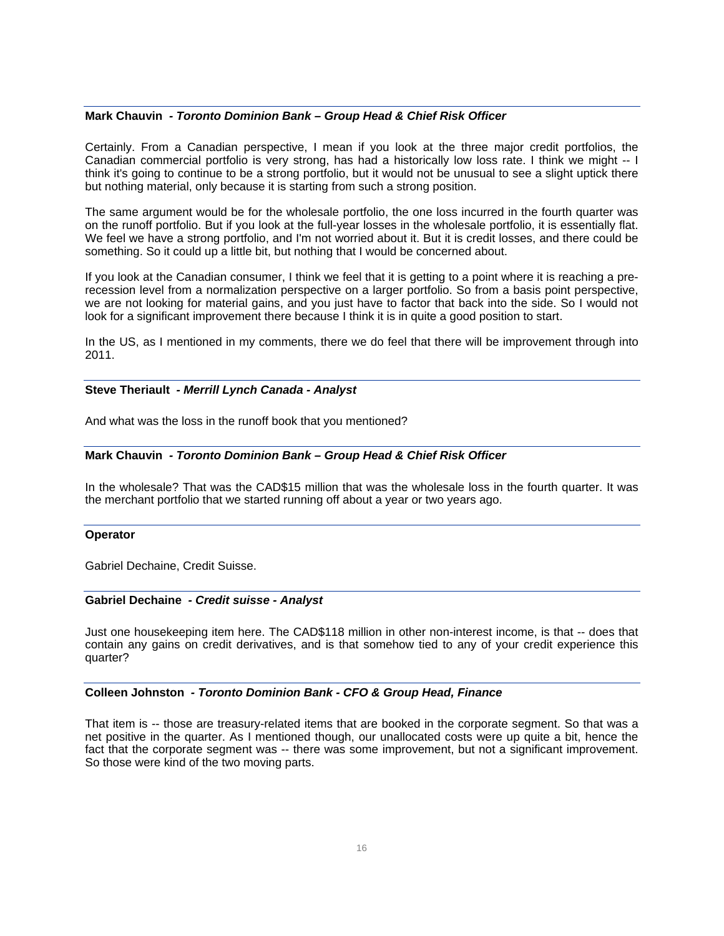#### **Mark Chauvin** *- Toronto Dominion Bank – Group Head & Chief Risk Officer*

Certainly. From a Canadian perspective, I mean if you look at the three major credit portfolios, the Canadian commercial portfolio is very strong, has had a historically low loss rate. I think we might -- I think it's going to continue to be a strong portfolio, but it would not be unusual to see a slight uptick there but nothing material, only because it is starting from such a strong position.

The same argument would be for the wholesale portfolio, the one loss incurred in the fourth quarter was on the runoff portfolio. But if you look at the full-year losses in the wholesale portfolio, it is essentially flat. We feel we have a strong portfolio, and I'm not worried about it. But it is credit losses, and there could be something. So it could up a little bit, but nothing that I would be concerned about.

If you look at the Canadian consumer, I think we feel that it is getting to a point where it is reaching a prerecession level from a normalization perspective on a larger portfolio. So from a basis point perspective, we are not looking for material gains, and you just have to factor that back into the side. So I would not look for a significant improvement there because I think it is in quite a good position to start.

In the US, as I mentioned in my comments, there we do feel that there will be improvement through into 2011.

#### **Steve Theriault** *- Merrill Lynch Canada - Analyst*

And what was the loss in the runoff book that you mentioned?

#### **Mark Chauvin** *- Toronto Dominion Bank – Group Head & Chief Risk Officer*

In the wholesale? That was the CAD\$15 million that was the wholesale loss in the fourth quarter. It was the merchant portfolio that we started running off about a year or two years ago.

#### **Operator**

Gabriel Dechaine, Credit Suisse.

#### **Gabriel Dechaine** *- Credit suisse - Analyst*

Just one housekeeping item here. The CAD\$118 million in other non-interest income, is that -- does that contain any gains on credit derivatives, and is that somehow tied to any of your credit experience this quarter?

#### **Colleen Johnston** *- Toronto Dominion Bank - CFO & Group Head, Finance*

That item is -- those are treasury-related items that are booked in the corporate segment. So that was a net positive in the quarter. As I mentioned though, our unallocated costs were up quite a bit, hence the fact that the corporate segment was -- there was some improvement, but not a significant improvement. So those were kind of the two moving parts.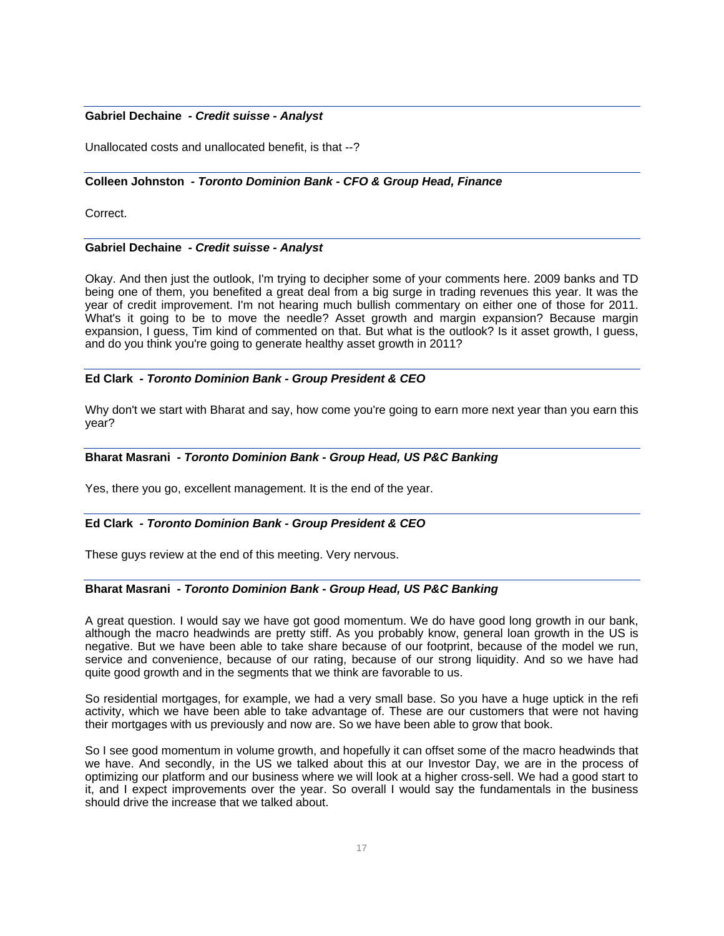### **Gabriel Dechaine** *- Credit suisse - Analyst*

Unallocated costs and unallocated benefit, is that --?

### **Colleen Johnston** *- Toronto Dominion Bank - CFO & Group Head, Finance*

Correct.

### **Gabriel Dechaine** *- Credit suisse - Analyst*

Okay. And then just the outlook, I'm trying to decipher some of your comments here. 2009 banks and TD being one of them, you benefited a great deal from a big surge in trading revenues this year. It was the year of credit improvement. I'm not hearing much bullish commentary on either one of those for 2011. What's it going to be to move the needle? Asset growth and margin expansion? Because margin expansion, I guess, Tim kind of commented on that. But what is the outlook? Is it asset growth, I guess, and do you think you're going to generate healthy asset growth in 2011?

### **Ed Clark** *- Toronto Dominion Bank - Group President & CEO*

Why don't we start with Bharat and say, how come you're going to earn more next year than you earn this year?

### **Bharat Masrani** *- Toronto Dominion Bank - Group Head, US P&C Banking*

Yes, there you go, excellent management. It is the end of the year.

### **Ed Clark** *- Toronto Dominion Bank - Group President & CEO*

These guys review at the end of this meeting. Very nervous.

### **Bharat Masrani** *- Toronto Dominion Bank - Group Head, US P&C Banking*

A great question. I would say we have got good momentum. We do have good long growth in our bank, although the macro headwinds are pretty stiff. As you probably know, general loan growth in the US is negative. But we have been able to take share because of our footprint, because of the model we run, service and convenience, because of our rating, because of our strong liquidity. And so we have had quite good growth and in the segments that we think are favorable to us.

So residential mortgages, for example, we had a very small base. So you have a huge uptick in the refi activity, which we have been able to take advantage of. These are our customers that were not having their mortgages with us previously and now are. So we have been able to grow that book.

So I see good momentum in volume growth, and hopefully it can offset some of the macro headwinds that we have. And secondly, in the US we talked about this at our Investor Day, we are in the process of optimizing our platform and our business where we will look at a higher cross-sell. We had a good start to it, and I expect improvements over the year. So overall I would say the fundamentals in the business should drive the increase that we talked about.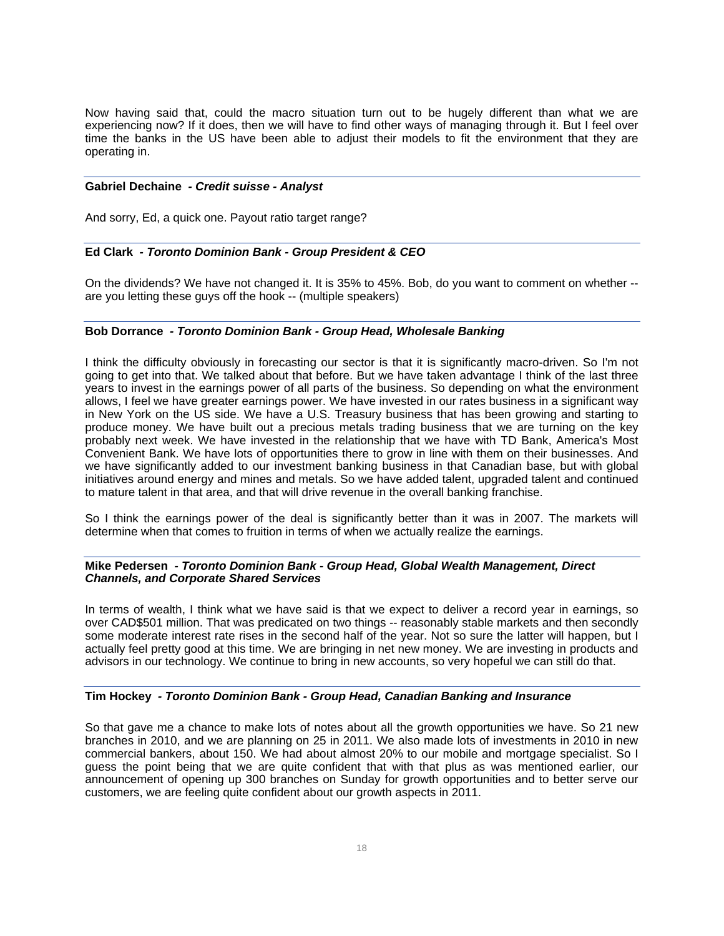Now having said that, could the macro situation turn out to be hugely different than what we are experiencing now? If it does, then we will have to find other ways of managing through it. But I feel over time the banks in the US have been able to adjust their models to fit the environment that they are operating in.

#### **Gabriel Dechaine** *- Credit suisse - Analyst*

And sorry, Ed, a quick one. Payout ratio target range?

### **Ed Clark** *- Toronto Dominion Bank - Group President & CEO*

On the dividends? We have not changed it. It is 35% to 45%. Bob, do you want to comment on whether - are you letting these guys off the hook -- (multiple speakers)

### **Bob Dorrance** *- Toronto Dominion Bank - Group Head, Wholesale Banking*

I think the difficulty obviously in forecasting our sector is that it is significantly macro-driven. So I'm not going to get into that. We talked about that before. But we have taken advantage I think of the last three years to invest in the earnings power of all parts of the business. So depending on what the environment allows, I feel we have greater earnings power. We have invested in our rates business in a significant way in New York on the US side. We have a U.S. Treasury business that has been growing and starting to produce money. We have built out a precious metals trading business that we are turning on the key probably next week. We have invested in the relationship that we have with TD Bank, America's Most Convenient Bank. We have lots of opportunities there to grow in line with them on their businesses. And we have significantly added to our investment banking business in that Canadian base, but with global initiatives around energy and mines and metals. So we have added talent, upgraded talent and continued to mature talent in that area, and that will drive revenue in the overall banking franchise.

So I think the earnings power of the deal is significantly better than it was in 2007. The markets will determine when that comes to fruition in terms of when we actually realize the earnings.

### **Mike Pedersen** *- Toronto Dominion Bank - Group Head, Global Wealth Management, Direct Channels, and Corporate Shared Services*

In terms of wealth, I think what we have said is that we expect to deliver a record year in earnings, so over CAD\$501 million. That was predicated on two things -- reasonably stable markets and then secondly some moderate interest rate rises in the second half of the year. Not so sure the latter will happen, but I actually feel pretty good at this time. We are bringing in net new money. We are investing in products and advisors in our technology. We continue to bring in new accounts, so very hopeful we can still do that.

### **Tim Hockey** *- Toronto Dominion Bank - Group Head, Canadian Banking and Insurance*

So that gave me a chance to make lots of notes about all the growth opportunities we have. So 21 new branches in 2010, and we are planning on 25 in 2011. We also made lots of investments in 2010 in new commercial bankers, about 150. We had about almost 20% to our mobile and mortgage specialist. So I guess the point being that we are quite confident that with that plus as was mentioned earlier, our announcement of opening up 300 branches on Sunday for growth opportunities and to better serve our customers, we are feeling quite confident about our growth aspects in 2011.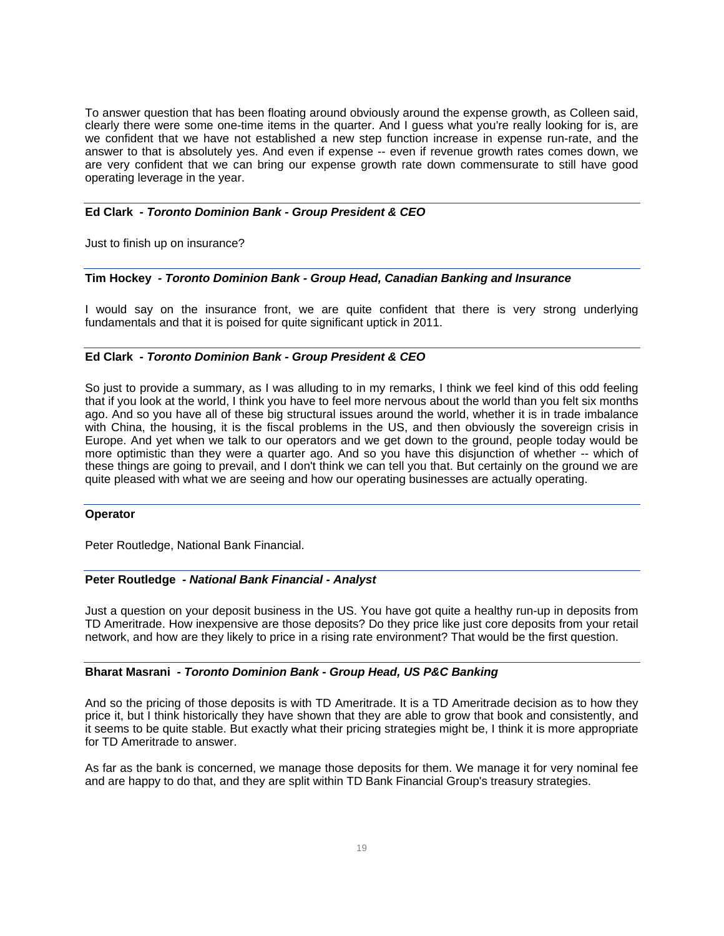To answer question that has been floating around obviously around the expense growth, as Colleen said, clearly there were some one-time items in the quarter. And I guess what you're really looking for is, are we confident that we have not established a new step function increase in expense run-rate, and the answer to that is absolutely yes. And even if expense -- even if revenue growth rates comes down, we are very confident that we can bring our expense growth rate down commensurate to still have good operating leverage in the year.

### **Ed Clark** *- Toronto Dominion Bank - Group President & CEO*

Just to finish up on insurance?

#### **Tim Hockey** *- Toronto Dominion Bank - Group Head, Canadian Banking and Insurance*

I would say on the insurance front, we are quite confident that there is very strong underlying fundamentals and that it is poised for quite significant uptick in 2011.

#### **Ed Clark** *- Toronto Dominion Bank - Group President & CEO*

So just to provide a summary, as I was alluding to in my remarks, I think we feel kind of this odd feeling that if you look at the world, I think you have to feel more nervous about the world than you felt six months ago. And so you have all of these big structural issues around the world, whether it is in trade imbalance with China, the housing, it is the fiscal problems in the US, and then obviously the sovereign crisis in Europe. And yet when we talk to our operators and we get down to the ground, people today would be more optimistic than they were a quarter ago. And so you have this disjunction of whether -- which of these things are going to prevail, and I don't think we can tell you that. But certainly on the ground we are quite pleased with what we are seeing and how our operating businesses are actually operating.

#### **Operator**

Peter Routledge, National Bank Financial.

#### **Peter Routledge** *- National Bank Financial - Analyst*

Just a question on your deposit business in the US. You have got quite a healthy run-up in deposits from TD Ameritrade. How inexpensive are those deposits? Do they price like just core deposits from your retail network, and how are they likely to price in a rising rate environment? That would be the first question.

#### **Bharat Masrani** *- Toronto Dominion Bank - Group Head, US P&C Banking*

And so the pricing of those deposits is with TD Ameritrade. It is a TD Ameritrade decision as to how they price it, but I think historically they have shown that they are able to grow that book and consistently, and it seems to be quite stable. But exactly what their pricing strategies might be, I think it is more appropriate for TD Ameritrade to answer.

As far as the bank is concerned, we manage those deposits for them. We manage it for very nominal fee and are happy to do that, and they are split within TD Bank Financial Group's treasury strategies.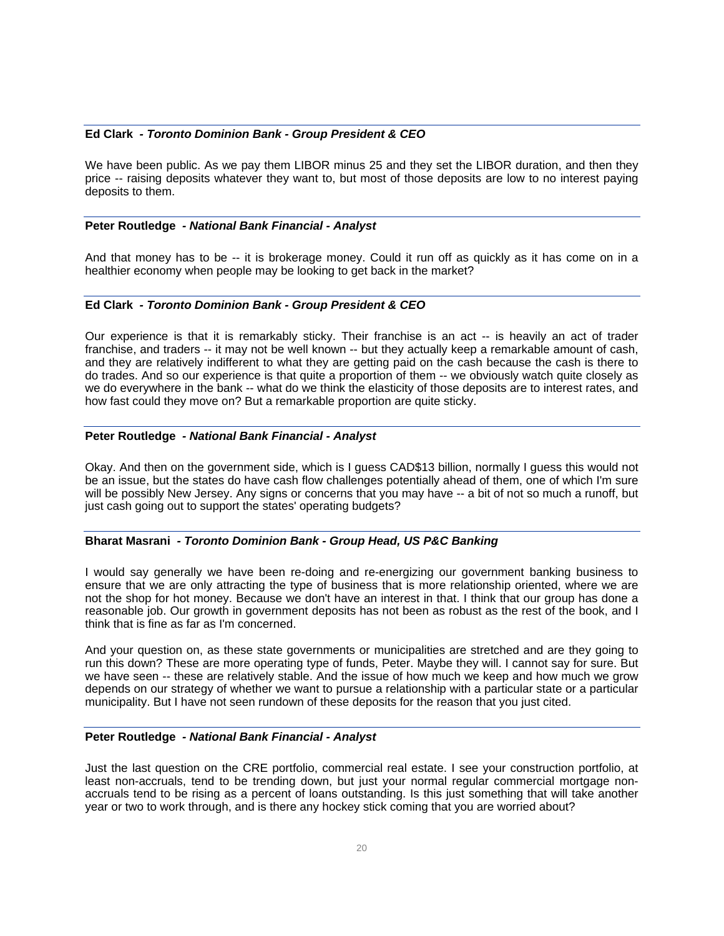### **Ed Clark** *- Toronto Dominion Bank - Group President & CEO*

We have been public. As we pay them LIBOR minus 25 and they set the LIBOR duration, and then they price -- raising deposits whatever they want to, but most of those deposits are low to no interest paying deposits to them.

#### **Peter Routledge** *- National Bank Financial - Analyst*

And that money has to be -- it is brokerage money. Could it run off as quickly as it has come on in a healthier economy when people may be looking to get back in the market?

### **Ed Clark** *- Toronto Dominion Bank - Group President & CEO*

Our experience is that it is remarkably sticky. Their franchise is an act -- is heavily an act of trader franchise, and traders -- it may not be well known -- but they actually keep a remarkable amount of cash, and they are relatively indifferent to what they are getting paid on the cash because the cash is there to do trades. And so our experience is that quite a proportion of them -- we obviously watch quite closely as we do everywhere in the bank -- what do we think the elasticity of those deposits are to interest rates, and how fast could they move on? But a remarkable proportion are quite sticky.

### **Peter Routledge** *- National Bank Financial - Analyst*

Okay. And then on the government side, which is I guess CAD\$13 billion, normally I guess this would not be an issue, but the states do have cash flow challenges potentially ahead of them, one of which I'm sure will be possibly New Jersey. Any signs or concerns that you may have -- a bit of not so much a runoff, but just cash going out to support the states' operating budgets?

#### **Bharat Masrani** *- Toronto Dominion Bank - Group Head, US P&C Banking*

I would say generally we have been re-doing and re-energizing our government banking business to ensure that we are only attracting the type of business that is more relationship oriented, where we are not the shop for hot money. Because we don't have an interest in that. I think that our group has done a reasonable job. Our growth in government deposits has not been as robust as the rest of the book, and I think that is fine as far as I'm concerned.

And your question on, as these state governments or municipalities are stretched and are they going to run this down? These are more operating type of funds, Peter. Maybe they will. I cannot say for sure. But we have seen -- these are relatively stable. And the issue of how much we keep and how much we grow depends on our strategy of whether we want to pursue a relationship with a particular state or a particular municipality. But I have not seen rundown of these deposits for the reason that you just cited.

### **Peter Routledge** *- National Bank Financial - Analyst*

Just the last question on the CRE portfolio, commercial real estate. I see your construction portfolio, at least non-accruals, tend to be trending down, but just your normal regular commercial mortgage nonaccruals tend to be rising as a percent of loans outstanding. Is this just something that will take another year or two to work through, and is there any hockey stick coming that you are worried about?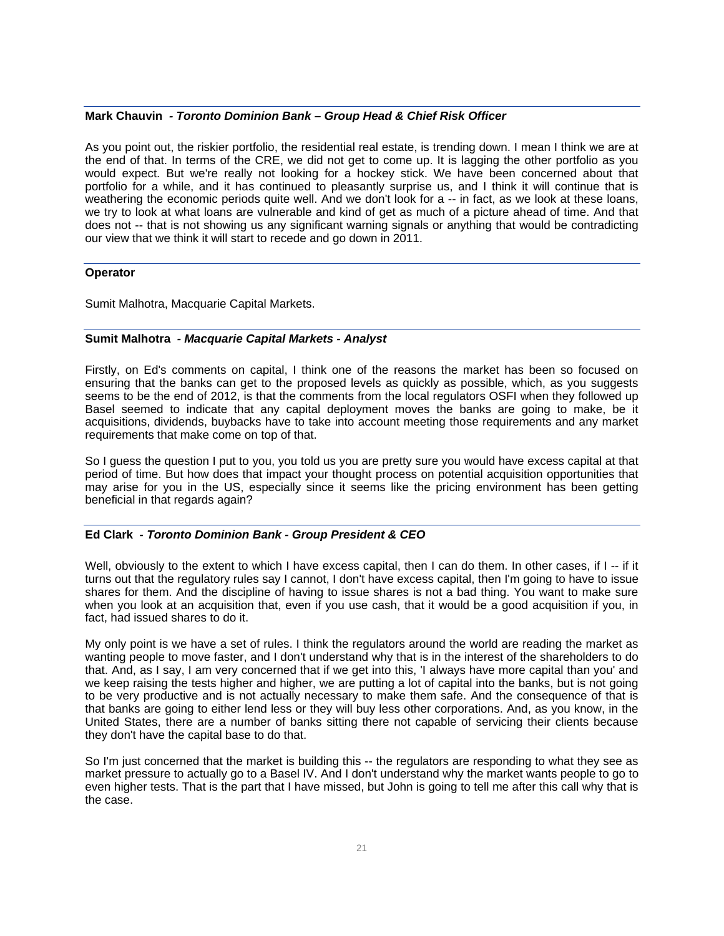#### **Mark Chauvin** *- Toronto Dominion Bank – Group Head & Chief Risk Officer*

As you point out, the riskier portfolio, the residential real estate, is trending down. I mean I think we are at the end of that. In terms of the CRE, we did not get to come up. It is lagging the other portfolio as you would expect. But we're really not looking for a hockey stick. We have been concerned about that portfolio for a while, and it has continued to pleasantly surprise us, and I think it will continue that is weathering the economic periods quite well. And we don't look for a -- in fact, as we look at these loans, we try to look at what loans are vulnerable and kind of get as much of a picture ahead of time. And that does not -- that is not showing us any significant warning signals or anything that would be contradicting our view that we think it will start to recede and go down in 2011.

#### **Operator**

Sumit Malhotra, Macquarie Capital Markets.

### **Sumit Malhotra** *- Macquarie Capital Markets - Analyst*

Firstly, on Ed's comments on capital, I think one of the reasons the market has been so focused on ensuring that the banks can get to the proposed levels as quickly as possible, which, as you suggests seems to be the end of 2012, is that the comments from the local regulators OSFI when they followed up Basel seemed to indicate that any capital deployment moves the banks are going to make, be it acquisitions, dividends, buybacks have to take into account meeting those requirements and any market requirements that make come on top of that.

So I guess the question I put to you, you told us you are pretty sure you would have excess capital at that period of time. But how does that impact your thought process on potential acquisition opportunities that may arise for you in the US, especially since it seems like the pricing environment has been getting beneficial in that regards again?

### **Ed Clark** *- Toronto Dominion Bank - Group President & CEO*

Well, obviously to the extent to which I have excess capital, then I can do them. In other cases, if I -- if it turns out that the regulatory rules say I cannot, I don't have excess capital, then I'm going to have to issue shares for them. And the discipline of having to issue shares is not a bad thing. You want to make sure when you look at an acquisition that, even if you use cash, that it would be a good acquisition if you, in fact, had issued shares to do it.

My only point is we have a set of rules. I think the regulators around the world are reading the market as wanting people to move faster, and I don't understand why that is in the interest of the shareholders to do that. And, as I say, I am very concerned that if we get into this, 'I always have more capital than you' and we keep raising the tests higher and higher, we are putting a lot of capital into the banks, but is not going to be very productive and is not actually necessary to make them safe. And the consequence of that is that banks are going to either lend less or they will buy less other corporations. And, as you know, in the United States, there are a number of banks sitting there not capable of servicing their clients because they don't have the capital base to do that.

So I'm just concerned that the market is building this -- the regulators are responding to what they see as market pressure to actually go to a Basel IV. And I don't understand why the market wants people to go to even higher tests. That is the part that I have missed, but John is going to tell me after this call why that is the case.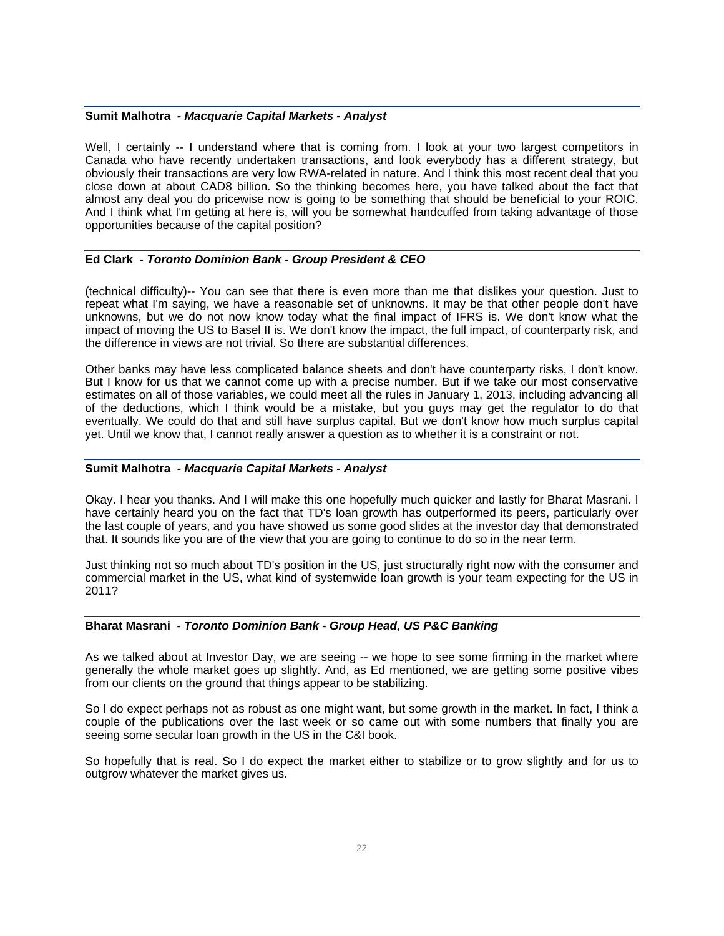#### **Sumit Malhotra** *- Macquarie Capital Markets - Analyst*

Well, I certainly -- I understand where that is coming from. I look at your two largest competitors in Canada who have recently undertaken transactions, and look everybody has a different strategy, but obviously their transactions are very low RWA-related in nature. And I think this most recent deal that you close down at about CAD8 billion. So the thinking becomes here, you have talked about the fact that almost any deal you do pricewise now is going to be something that should be beneficial to your ROIC. And I think what I'm getting at here is, will you be somewhat handcuffed from taking advantage of those opportunities because of the capital position?

#### **Ed Clark** *- Toronto Dominion Bank - Group President & CEO*

(technical difficulty)-- You can see that there is even more than me that dislikes your question. Just to repeat what I'm saying, we have a reasonable set of unknowns. It may be that other people don't have unknowns, but we do not now know today what the final impact of IFRS is. We don't know what the impact of moving the US to Basel II is. We don't know the impact, the full impact, of counterparty risk, and the difference in views are not trivial. So there are substantial differences.

Other banks may have less complicated balance sheets and don't have counterparty risks, I don't know. But I know for us that we cannot come up with a precise number. But if we take our most conservative estimates on all of those variables, we could meet all the rules in January 1, 2013, including advancing all of the deductions, which I think would be a mistake, but you guys may get the regulator to do that eventually. We could do that and still have surplus capital. But we don't know how much surplus capital yet. Until we know that, I cannot really answer a question as to whether it is a constraint or not.

#### **Sumit Malhotra** *- Macquarie Capital Markets - Analyst*

Okay. I hear you thanks. And I will make this one hopefully much quicker and lastly for Bharat Masrani. I have certainly heard you on the fact that TD's loan growth has outperformed its peers, particularly over the last couple of years, and you have showed us some good slides at the investor day that demonstrated that. It sounds like you are of the view that you are going to continue to do so in the near term.

Just thinking not so much about TD's position in the US, just structurally right now with the consumer and commercial market in the US, what kind of systemwide loan growth is your team expecting for the US in 2011?

#### **Bharat Masrani** *- Toronto Dominion Bank - Group Head, US P&C Banking*

As we talked about at Investor Day, we are seeing -- we hope to see some firming in the market where generally the whole market goes up slightly. And, as Ed mentioned, we are getting some positive vibes from our clients on the ground that things appear to be stabilizing.

So I do expect perhaps not as robust as one might want, but some growth in the market. In fact, I think a couple of the publications over the last week or so came out with some numbers that finally you are seeing some secular loan growth in the US in the C&I book.

So hopefully that is real. So I do expect the market either to stabilize or to grow slightly and for us to outgrow whatever the market gives us.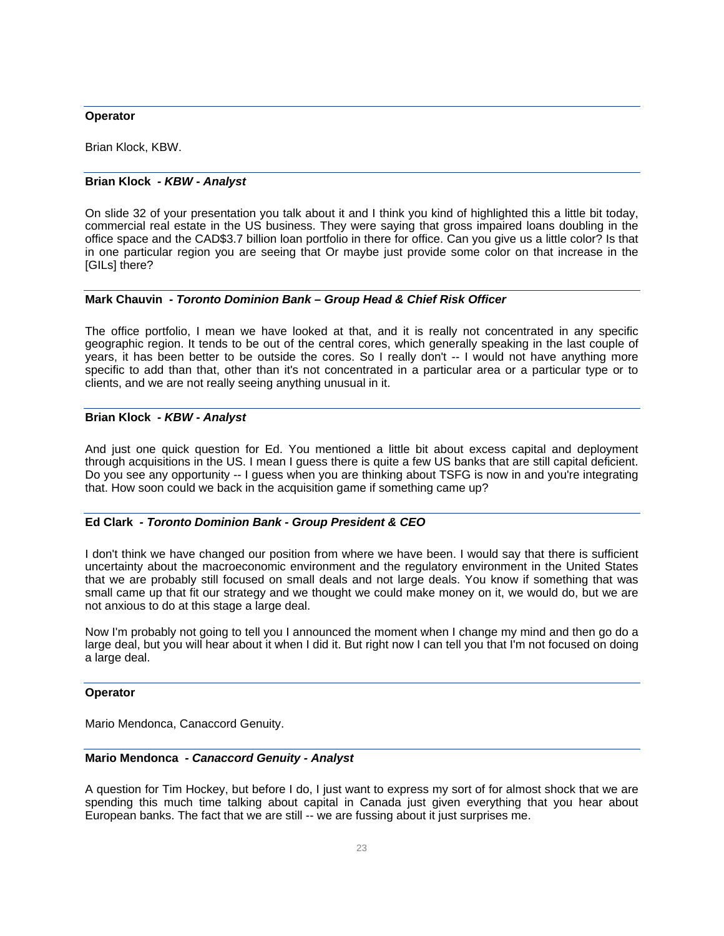#### **Operator**

Brian Klock, KBW.

### **Brian Klock** *- KBW - Analyst*

On slide 32 of your presentation you talk about it and I think you kind of highlighted this a little bit today, commercial real estate in the US business. They were saying that gross impaired loans doubling in the office space and the CAD\$3.7 billion loan portfolio in there for office. Can you give us a little color? Is that in one particular region you are seeing that Or maybe just provide some color on that increase in the [GILs] there?

### **Mark Chauvin** *- Toronto Dominion Bank – Group Head & Chief Risk Officer*

The office portfolio, I mean we have looked at that, and it is really not concentrated in any specific geographic region. It tends to be out of the central cores, which generally speaking in the last couple of years, it has been better to be outside the cores. So I really don't -- I would not have anything more specific to add than that, other than it's not concentrated in a particular area or a particular type or to clients, and we are not really seeing anything unusual in it.

### **Brian Klock** *- KBW - Analyst*

And just one quick question for Ed. You mentioned a little bit about excess capital and deployment through acquisitions in the US. I mean I guess there is quite a few US banks that are still capital deficient. Do you see any opportunity -- I guess when you are thinking about TSFG is now in and you're integrating that. How soon could we back in the acquisition game if something came up?

### **Ed Clark** *- Toronto Dominion Bank - Group President & CEO*

I don't think we have changed our position from where we have been. I would say that there is sufficient uncertainty about the macroeconomic environment and the regulatory environment in the United States that we are probably still focused on small deals and not large deals. You know if something that was small came up that fit our strategy and we thought we could make money on it, we would do, but we are not anxious to do at this stage a large deal.

Now I'm probably not going to tell you I announced the moment when I change my mind and then go do a large deal, but you will hear about it when I did it. But right now I can tell you that I'm not focused on doing a large deal.

### **Operator**

Mario Mendonca, Canaccord Genuity.

### **Mario Mendonca** *- Canaccord Genuity - Analyst*

A question for Tim Hockey, but before I do, I just want to express my sort of for almost shock that we are spending this much time talking about capital in Canada just given everything that you hear about European banks. The fact that we are still -- we are fussing about it just surprises me.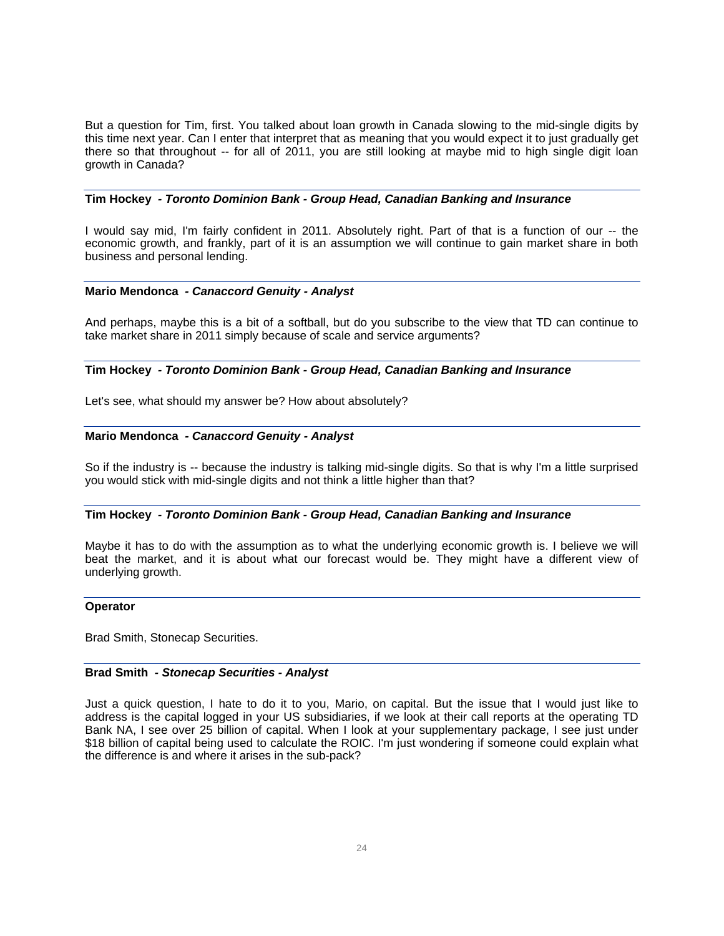But a question for Tim, first. You talked about loan growth in Canada slowing to the mid-single digits by this time next year. Can I enter that interpret that as meaning that you would expect it to just gradually get there so that throughout -- for all of 2011, you are still looking at maybe mid to high single digit loan growth in Canada?

### **Tim Hockey** *- Toronto Dominion Bank - Group Head, Canadian Banking and Insurance*

I would say mid, I'm fairly confident in 2011. Absolutely right. Part of that is a function of our -- the economic growth, and frankly, part of it is an assumption we will continue to gain market share in both business and personal lending.

#### **Mario Mendonca** *- Canaccord Genuity - Analyst*

And perhaps, maybe this is a bit of a softball, but do you subscribe to the view that TD can continue to take market share in 2011 simply because of scale and service arguments?

### **Tim Hockey** *- Toronto Dominion Bank - Group Head, Canadian Banking and Insurance*

Let's see, what should my answer be? How about absolutely?

### **Mario Mendonca** *- Canaccord Genuity - Analyst*

So if the industry is -- because the industry is talking mid-single digits. So that is why I'm a little surprised you would stick with mid-single digits and not think a little higher than that?

#### **Tim Hockey** *- Toronto Dominion Bank - Group Head, Canadian Banking and Insurance*

Maybe it has to do with the assumption as to what the underlying economic growth is. I believe we will beat the market, and it is about what our forecast would be. They might have a different view of underlying growth.

#### **Operator**

Brad Smith, Stonecap Securities.

#### **Brad Smith** *- Stonecap Securities - Analyst*

Just a quick question, I hate to do it to you, Mario, on capital. But the issue that I would just like to address is the capital logged in your US subsidiaries, if we look at their call reports at the operating TD Bank NA, I see over 25 billion of capital. When I look at your supplementary package, I see just under \$18 billion of capital being used to calculate the ROIC. I'm just wondering if someone could explain what the difference is and where it arises in the sub-pack?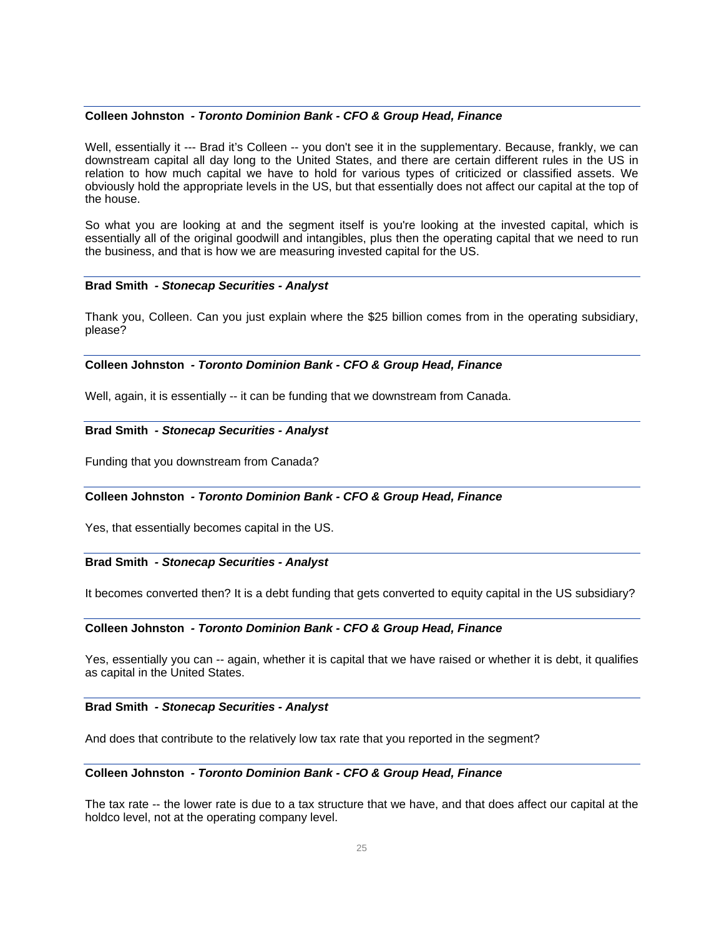#### **Colleen Johnston** *- Toronto Dominion Bank - CFO & Group Head, Finance*

Well, essentially it --- Brad it's Colleen -- you don't see it in the supplementary. Because, frankly, we can downstream capital all day long to the United States, and there are certain different rules in the US in relation to how much capital we have to hold for various types of criticized or classified assets. We obviously hold the appropriate levels in the US, but that essentially does not affect our capital at the top of the house.

So what you are looking at and the segment itself is you're looking at the invested capital, which is essentially all of the original goodwill and intangibles, plus then the operating capital that we need to run the business, and that is how we are measuring invested capital for the US.

#### **Brad Smith** *- Stonecap Securities - Analyst*

Thank you, Colleen. Can you just explain where the \$25 billion comes from in the operating subsidiary, please?

### **Colleen Johnston** *- Toronto Dominion Bank - CFO & Group Head, Finance*

Well, again, it is essentially -- it can be funding that we downstream from Canada.

# **Brad Smith** *- Stonecap Securities - Analyst*

Funding that you downstream from Canada?

### **Colleen Johnston** *- Toronto Dominion Bank - CFO & Group Head, Finance*

Yes, that essentially becomes capital in the US.

#### **Brad Smith** *- Stonecap Securities - Analyst*

It becomes converted then? It is a debt funding that gets converted to equity capital in the US subsidiary?

#### **Colleen Johnston** *- Toronto Dominion Bank - CFO & Group Head, Finance*

Yes, essentially you can -- again, whether it is capital that we have raised or whether it is debt, it qualifies as capital in the United States.

#### **Brad Smith** *- Stonecap Securities - Analyst*

And does that contribute to the relatively low tax rate that you reported in the segment?

### **Colleen Johnston** *- Toronto Dominion Bank - CFO & Group Head, Finance*

The tax rate -- the lower rate is due to a tax structure that we have, and that does affect our capital at the holdco level, not at the operating company level.